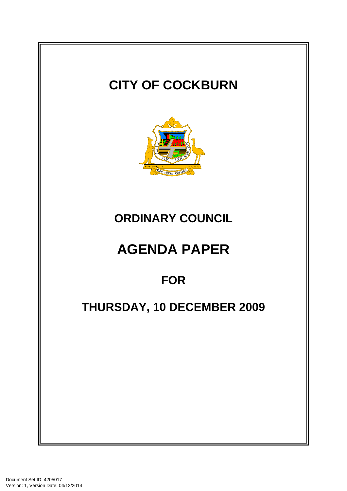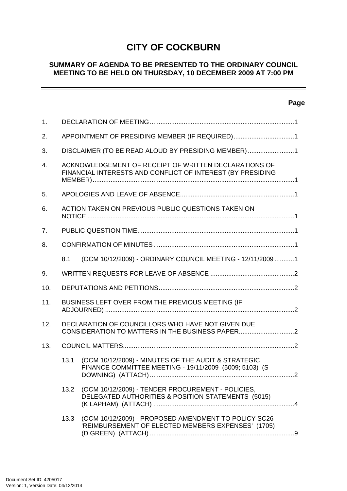# **CITY OF COCKBURN**

### **SUMMARY OF AGENDA TO BE PRESENTED TO THE ORDINARY COUNCIL MEETING TO BE HELD ON THURSDAY, 10 DECEMBER 2009 AT 7:00 PM**

### **Page**

-

| 1.             |                                                                                                                     |                                                                                                                 |  |  |  |
|----------------|---------------------------------------------------------------------------------------------------------------------|-----------------------------------------------------------------------------------------------------------------|--|--|--|
| 2.             | APPOINTMENT OF PRESIDING MEMBER (IF REQUIRED)1                                                                      |                                                                                                                 |  |  |  |
| 3.             | DISCLAIMER (TO BE READ ALOUD BY PRESIDING MEMBER) 1                                                                 |                                                                                                                 |  |  |  |
| $\mathbf{4}$ . | ACKNOWLEDGEMENT OF RECEIPT OF WRITTEN DECLARATIONS OF<br>FINANCIAL INTERESTS AND CONFLICT OF INTEREST (BY PRESIDING |                                                                                                                 |  |  |  |
| 5.             |                                                                                                                     |                                                                                                                 |  |  |  |
| 6.             |                                                                                                                     | ACTION TAKEN ON PREVIOUS PUBLIC QUESTIONS TAKEN ON                                                              |  |  |  |
| 7.             |                                                                                                                     |                                                                                                                 |  |  |  |
| 8.             |                                                                                                                     |                                                                                                                 |  |  |  |
|                | 8.1                                                                                                                 | (OCM 10/12/2009) - ORDINARY COUNCIL MEETING - 12/11/20091                                                       |  |  |  |
| 9.             |                                                                                                                     |                                                                                                                 |  |  |  |
| 10.            |                                                                                                                     |                                                                                                                 |  |  |  |
| 11.            |                                                                                                                     | BUSINESS LEFT OVER FROM THE PREVIOUS MEETING (IF                                                                |  |  |  |
| 12.            | DECLARATION OF COUNCILLORS WHO HAVE NOT GIVEN DUE                                                                   |                                                                                                                 |  |  |  |
| 13.            |                                                                                                                     |                                                                                                                 |  |  |  |
|                | 13.1                                                                                                                | (OCM 10/12/2009) - MINUTES OF THE AUDIT & STRATEGIC<br>FINANCE COMMITTEE MEETING - 19/11/2009 (5009; 5103) (S   |  |  |  |
|                |                                                                                                                     | 13.2 (OCM 10/12/2009) - TENDER PROCUREMENT - POLICIES,<br>DELEGATED AUTHORITIES & POSITION STATEMENTS (5015)    |  |  |  |
|                |                                                                                                                     | 13.3 (OCM 10/12/2009) - PROPOSED AMENDMENT TO POLICY SC26<br>'REIMBURSEMENT OF ELECTED MEMBERS EXPENSES' (1705) |  |  |  |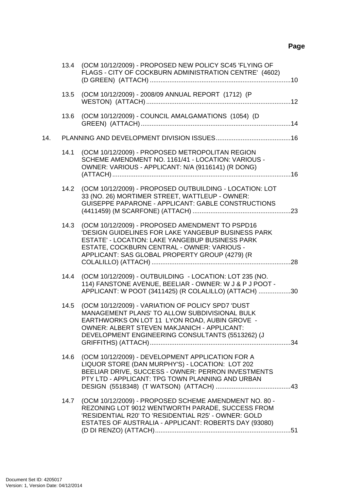|     |      | 13.4 (OCM 10/12/2009) - PROPOSED NEW POLICY SC45 'FLYING OF<br>FLAGS - CITY OF COCKBURN ADMINISTRATION CENTRE' (4602)                                                                                                                                         |  |
|-----|------|---------------------------------------------------------------------------------------------------------------------------------------------------------------------------------------------------------------------------------------------------------------|--|
|     | 13.5 | (OCM 10/12/2009) - 2008/09 ANNUAL REPORT (1712) (P                                                                                                                                                                                                            |  |
|     | 13.6 | (OCM 10/12/2009) - COUNCIL AMALGAMATIONS (1054) (D                                                                                                                                                                                                            |  |
| 14. |      |                                                                                                                                                                                                                                                               |  |
|     | 14.1 | (OCM 10/12/2009) - PROPOSED METROPOLITAN REGION<br>SCHEME AMENDMENT NO. 1161/41 - LOCATION: VARIOUS -<br>OWNER: VARIOUS - APPLICANT: N/A (9116141) (R DONG)                                                                                                   |  |
|     | 14.2 | (OCM 10/12/2009) - PROPOSED OUTBUILDING - LOCATION: LOT<br>33 (NO. 26) MORTIMER STREET, WATTLEUP - OWNER:<br>GUISEPPE PAPARONE - APPLICANT: GABLE CONSTRUCTIONS                                                                                               |  |
|     | 14.3 | (OCM 10/12/2009) - PROPOSED AMENDMENT TO PSPD16<br>'DESIGN GUIDELINES FOR LAKE YANGEBUP BUSINESS PARK<br>ESTATE' - LOCATION: LAKE YANGEBUP BUSINESS PARK<br>ESTATE, COCKBURN CENTRAL - OWNER: VARIOUS -<br>APPLICANT: SAS GLOBAL PROPERTY GROUP (4279) (R     |  |
|     | 14.4 | (OCM 10/12/2009) - OUTBUILDING - LOCATION: LOT 235 (NO.<br>114) FANSTONE AVENUE, BEELIAR - OWNER: W J & P J POOT -<br>APPLICANT: W POOT (3411425) (R COLALILLO) (ATTACH) 30                                                                                   |  |
|     | 14.5 | (OCM 10/12/2009) - VARIATION OF POLICY SPD7 'DUST<br>MANAGEMENT PLANS' TO ALLOW SUBDIVISIONAL BULK<br>EARTHWORKS ON LOT 11 LYON ROAD, AUBIN GROVE -<br><b>OWNER: ALBERT STEVEN MAKJANICH - APPLICANT:</b><br>DEVELOPMENT ENGINEERING CONSULTANTS (5513262) (J |  |
|     | 14.6 | (OCM 10/12/2009) - DEVELOPMENT APPLICATION FOR A<br>LIQUOR STORE (DAN MURPHY'S) - LOCATION: LOT 202<br>BEELIAR DRIVE, SUCCESS - OWNER: PERRON INVESTMENTS<br>PTY LTD - APPLICANT: TPG TOWN PLANNING AND URBAN                                                 |  |
|     |      | 14.7 (OCM 10/12/2009) - PROPOSED SCHEME AMENDMENT NO. 80 -<br>REZONING LOT 9012 WENTWORTH PARADE, SUCCESS FROM<br>'RESIDENTIAL R20' TO 'RESIDENTIAL R25' - OWNER: GOLD<br>ESTATES OF AUSTRALIA - APPLICANT: ROBERTS DAY (93080)                               |  |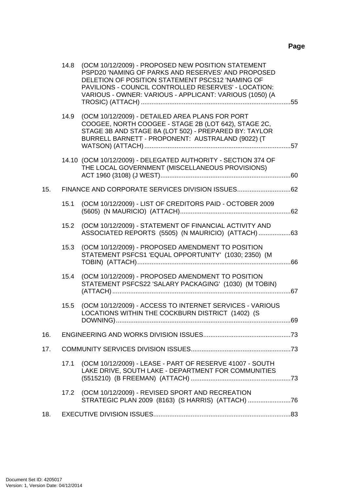|     | 14.8 | (OCM 10/12/2009) - PROPOSED NEW POSITION STATEMENT<br>PSPD20 'NAMING OF PARKS AND RESERVES' AND PROPOSED<br>DELETION OF POSITION STATEMENT PSCS12 'NAMING OF<br>PAVILIONS - COUNCIL CONTROLLED RESERVES' - LOCATION:<br>VARIOUS - OWNER: VARIOUS - APPLICANT: VARIOUS (1050) (A |    |
|-----|------|---------------------------------------------------------------------------------------------------------------------------------------------------------------------------------------------------------------------------------------------------------------------------------|----|
|     | 14.9 | (OCM 10/12/2009) - DETAILED AREA PLANS FOR PORT<br>COOGEE, NORTH COOGEE - STAGE 2B (LOT 642), STAGE 2C,<br>STAGE 3B AND STAGE 8A (LOT 502) - PREPARED BY: TAYLOR<br>BURRELL BARNETT - PROPONENT: AUSTRALAND (9022) (T                                                           |    |
|     |      | 14.10 (OCM 10/12/2009) - DELEGATED AUTHORITY - SECTION 374 OF<br>THE LOCAL GOVERNMENT (MISCELLANEOUS PROVISIONS)                                                                                                                                                                |    |
| 15. |      |                                                                                                                                                                                                                                                                                 |    |
|     | 15.1 | (OCM 10/12/2009) - LIST OF CREDITORS PAID - OCTOBER 2009                                                                                                                                                                                                                        |    |
|     | 15.2 | (OCM 10/12/2009) - STATEMENT OF FINANCIAL ACTIVITY AND                                                                                                                                                                                                                          |    |
|     | 15.3 | (OCM 10/12/2009) - PROPOSED AMENDMENT TO POSITION<br>STATEMENT PSFCS1 'EQUAL OPPORTUNITY' (1030; 2350) (M                                                                                                                                                                       |    |
|     | 15.4 | (OCM 10/12/2009) - PROPOSED AMENDMENT TO POSITION<br>STATEMENT PSFCS22 'SALARY PACKAGING' (1030) (M TOBIN)                                                                                                                                                                      |    |
|     | 15.5 | (OCM 10/12/2009) - ACCESS TO INTERNET SERVICES - VARIOUS<br>LOCATIONS WITHIN THE COCKBURN DISTRICT (1402) (S<br>DOWNING)                                                                                                                                                        | 69 |
| 16. |      |                                                                                                                                                                                                                                                                                 |    |
| 17. |      |                                                                                                                                                                                                                                                                                 |    |
|     | 17.1 | (OCM 10/12/2009) - LEASE - PART OF RESERVE 41007 - SOUTH<br>LAKE DRIVE, SOUTH LAKE - DEPARTMENT FOR COMMUNITIES                                                                                                                                                                 |    |
|     |      | 17.2 (OCM 10/12/2009) - REVISED SPORT AND RECREATION<br>STRATEGIC PLAN 2009 (8163) (S HARRIS) (ATTACH)                                                                                                                                                                          |    |
| 18. |      |                                                                                                                                                                                                                                                                                 |    |
|     |      |                                                                                                                                                                                                                                                                                 |    |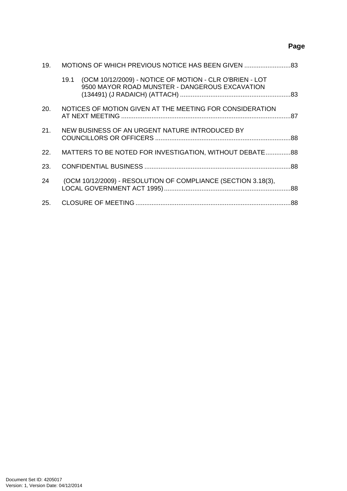# **Page**

| 19. |      | MOTIONS OF WHICH PREVIOUS NOTICE HAS BEEN GIVEN                                                           |  |
|-----|------|-----------------------------------------------------------------------------------------------------------|--|
|     | 19.1 | (OCM 10/12/2009) - NOTICE OF MOTION - CLR O'BRIEN - LOT<br>9500 MAYOR ROAD MUNSTER - DANGEROUS EXCAVATION |  |
| 20. |      | NOTICES OF MOTION GIVEN AT THE MEETING FOR CONSIDERATION                                                  |  |
| 21. |      | NEW BUSINESS OF AN URGENT NATURE INTRODUCED BY                                                            |  |
| 22. |      | MATTERS TO BE NOTED FOR INVESTIGATION, WITHOUT DEBATE88                                                   |  |
| 23. |      |                                                                                                           |  |
| 24  |      | (OCM 10/12/2009) - RESOLUTION OF COMPLIANCE (SECTION 3.18(3),                                             |  |
| 25. |      |                                                                                                           |  |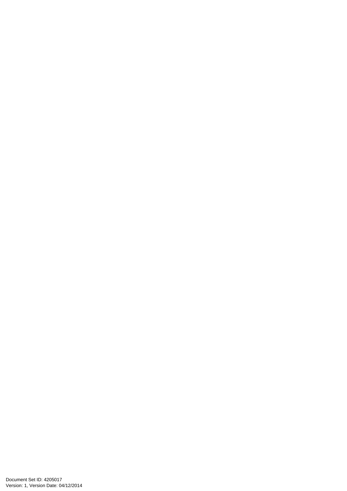Document Set ID: 4205017<br>Version: 1, Version Date: 04/12/2014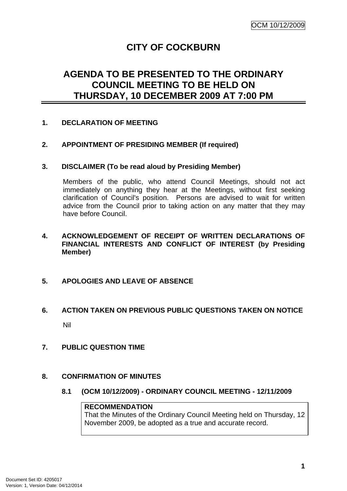# **CITY OF COCKBURN**

# <span id="page-6-0"></span>**AGENDA TO BE PRESENTED TO THE ORDINARY COUNCIL MEETING TO BE HELD ON THURSDAY, 10 DECEMBER 2009 AT 7:00 PM**

### **1. DECLARATION OF MEETING**

### **2. APPOINTMENT OF PRESIDING MEMBER (If required)**

### **3. DISCLAIMER (To be read aloud by Presiding Member)**

Members of the public, who attend Council Meetings, should not act immediately on anything they hear at the Meetings, without first seeking clarification of Council's position. Persons are advised to wait for written advice from the Council prior to taking action on any matter that they may have before Council.

### **4. ACKNOWLEDGEMENT OF RECEIPT OF WRITTEN DECLARATIONS OF FINANCIAL INTERESTS AND CONFLICT OF INTEREST (by Presiding Member)**

## **5. APOLOGIES AND LEAVE OF ABSENCE**

# **6. ACTION TAKEN ON PREVIOUS PUBLIC QUESTIONS TAKEN ON NOTICE**  Nil

### **7. PUBLIC QUESTION TIME**

### **8. CONFIRMATION OF MINUTES**

**8.1 (OCM 10/12/2009) - ORDINARY COUNCIL MEETING - 12/11/2009** 

### **RECOMMENDATION**

That the Minutes of the Ordinary Council Meeting held on Thursday, 12 November 2009, be adopted as a true and accurate record.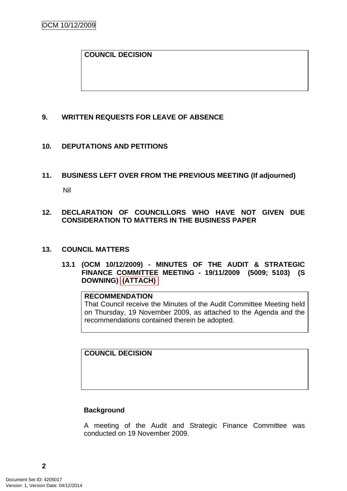### <span id="page-7-0"></span>**COUNCIL DECISION**

### **9. WRITTEN REQUESTS FOR LEAVE OF ABSENCE**

### **10. DEPUTATIONS AND PETITIONS**

**11. BUSINESS LEFT OVER FROM THE PREVIOUS MEETING (If adjourned)**  Nil

### **12. DECLARATION OF COUNCILLORS WHO HAVE NOT GIVEN DUE CONSIDERATION TO MATTERS IN THE BUSINESS PAPER**

### **13. COUNCIL MATTERS**

**13.1 (OCM 10/12/2009) - MINUTES OF THE AUDIT & STRATEGIC FINANCE COMMITTEE MEETING - 19/11/2009 (5009; 5103) (S DOWNING) (ATTACH)** 

#### **RECOMMENDATION**

That Council receive the Minutes of the Audit Committee Meeting held on Thursday, 19 November 2009, as attached to the Agenda and the recommendations contained therein be adopted.

**COUNCIL DECISION** 

### **Background**

A meeting of the Audit and Strategic Finance Committee was conducted on 19 November 2009.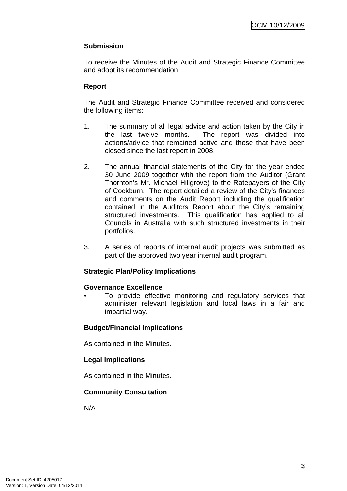## **Submission**

To receive the Minutes of the Audit and Strategic Finance Committee and adopt its recommendation.

# **Report**

The Audit and Strategic Finance Committee received and considered the following items:

- 1. The summary of all legal advice and action taken by the City in the last twelve months. The report was divided into actions/advice that remained active and those that have been closed since the last report in 2008.
- 2. The annual financial statements of the City for the year ended 30 June 2009 together with the report from the Auditor (Grant Thornton's Mr. Michael Hillgrove) to the Ratepayers of the City of Cockburn. The report detailed a review of the City's finances and comments on the Audit Report including the qualification contained in the Auditors Report about the City's remaining structured investments. This qualification has applied to all Councils in Australia with such structured investments in their portfolios.
- 3. A series of reports of internal audit projects was submitted as part of the approved two year internal audit program.

## **Strategic Plan/Policy Implications**

### **Governance Excellence**

To provide effective monitoring and regulatory services that administer relevant legislation and local laws in a fair and impartial way.

## **Budget/Financial Implications**

As contained in the Minutes.

## **Legal Implications**

As contained in the Minutes.

## **Community Consultation**

N/A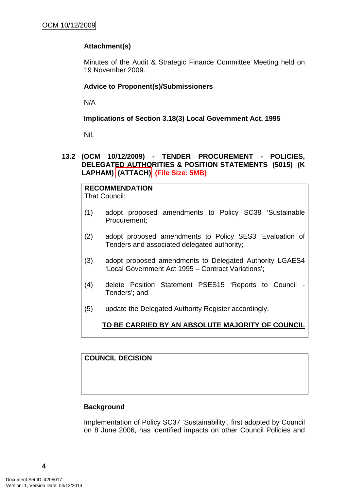# <span id="page-9-0"></span>**Attachment(s)**

Minutes of the Audit & Strategic Finance Committee Meeting held on 19 November 2009.

### **Advice to Proponent(s)/Submissioners**

N/A

**Implications of Section 3.18(3) Local Government Act, 1995**

Nil.

### **13.2 (OCM 10/12/2009) - TENDER PROCUREMENT - POLICIES, DELEGATED AUTHORITIES & POSITION STATEMENTS (5015) (K LAPHAM) (ATTACH) (File Size: 5MB)**

**RECOMMENDATION** That Council:

- (1) adopt proposed amendments to Policy SC38 'Sustainable Procurement;
- (2) adopt proposed amendments to Policy SES3 'Evaluation of Tenders and associated delegated authority;
- (3) adopt proposed amendments to Delegated Authority LGAES4 'Local Government Act 1995 – Contract Variations';
- (4) delete Position Statement PSES15 'Reports to Council Tenders'; and
- (5) update the Delegated Authority Register accordingly.

# **TO BE CARRIED BY AN ABSOLUTE MAJORITY OF COUNCIL**

**COUNCIL DECISION** 

### **Background**

Implementation of Policy SC37 'Sustainability', first adopted by Council on 8 June 2006, has identified impacts on other Council Policies and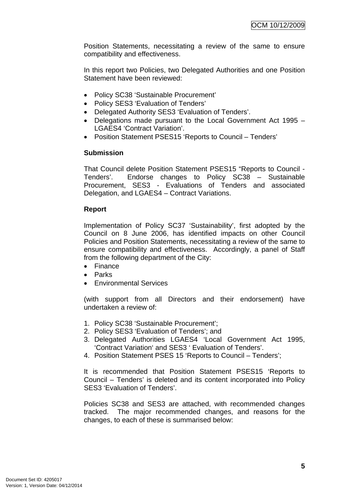Position Statements, necessitating a review of the same to ensure compatibility and effectiveness.

In this report two Policies, two Delegated Authorities and one Position Statement have been reviewed:

- Policy SC38 'Sustainable Procurement'
- Policy SES3 'Evaluation of Tenders'
- Delegated Authority SES3 'Evaluation of Tenders'.
- Delegations made pursuant to the Local Government Act 1995 LGAES4 'Contract Variation'.
- Position Statement PSES15 'Reports to Council Tenders'

### **Submission**

That Council delete Position Statement PSES15 "Reports to Council - Tenders'. Endorse changes to Policy SC38 – Sustainable Procurement, SES3 - Evaluations of Tenders and associated Delegation, and LGAES4 – Contract Variations.

### **Report**

Implementation of Policy SC37 'Sustainability', first adopted by the Council on 8 June 2006, has identified impacts on other Council Policies and Position Statements, necessitating a review of the same to ensure compatibility and effectiveness. Accordingly, a panel of Staff from the following department of the City:

- Finance
- Parks
- Environmental Services

(with support from all Directors and their endorsement) have undertaken a review of:

- 1. Policy SC38 'Sustainable Procurement';
- 2. Policy SES3 'Evaluation of Tenders'; and
- 3. Delegated Authorities LGAES4 'Local Government Act 1995, 'Contract Variation' and SES3 ' Evaluation of Tenders'.
- 4. Position Statement PSES 15 'Reports to Council Tenders';

It is recommended that Position Statement PSES15 'Reports to Council – Tenders' is deleted and its content incorporated into Policy SES3 'Evaluation of Tenders'.

Policies SC38 and SES3 are attached, with recommended changes tracked. The major recommended changes, and reasons for the changes, to each of these is summarised below: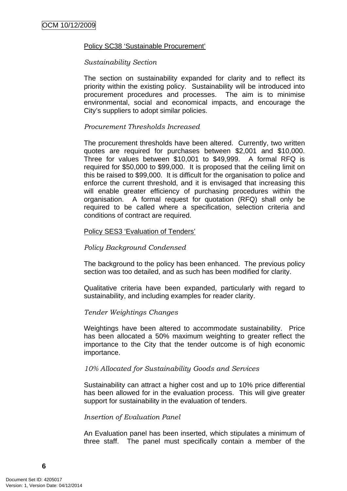### Policy SC38 'Sustainable Procurement'

#### *Sustainability Section*

The section on sustainability expanded for clarity and to reflect its priority within the existing policy. Sustainability will be introduced into procurement procedures and processes. The aim is to minimise environmental, social and economical impacts, and encourage the City's suppliers to adopt similar policies.

### *Procurement Thresholds Increased*

The procurement thresholds have been altered. Currently, two written quotes are required for purchases between \$2,001 and \$10,000. Three for values between \$10,001 to \$49,999. A formal RFQ is required for \$50,000 to \$99,000. It is proposed that the ceiling limit on this be raised to \$99,000. It is difficult for the organisation to police and enforce the current threshold, and it is envisaged that increasing this will enable greater efficiency of purchasing procedures within the organisation. A formal request for quotation (RFQ) shall only be required to be called where a specification, selection criteria and conditions of contract are required.

#### Policy SES3 'Evaluation of Tenders'

### *Policy Background Condensed*

The background to the policy has been enhanced. The previous policy section was too detailed, and as such has been modified for clarity.

Qualitative criteria have been expanded, particularly with regard to sustainability, and including examples for reader clarity.

#### *Tender Weightings Changes*

Weightings have been altered to accommodate sustainability. Price has been allocated a 50% maximum weighting to greater reflect the importance to the City that the tender outcome is of high economic importance.

### *10% Allocated for Sustainability Goods and Services*

Sustainability can attract a higher cost and up to 10% price differential has been allowed for in the evaluation process. This will give greater support for sustainability in the evaluation of tenders.

### *Insertion of Evaluation Panel*

An Evaluation panel has been inserted, which stipulates a minimum of three staff. The panel must specifically contain a member of the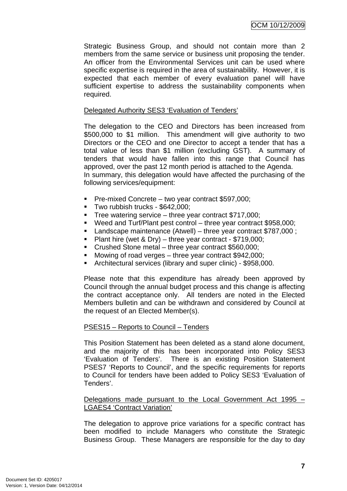Strategic Business Group, and should not contain more than 2 members from the same service or business unit proposing the tender. An officer from the Environmental Services unit can be used where specific expertise is required in the area of sustainability. However, it is expected that each member of every evaluation panel will have sufficient expertise to address the sustainability components when required.

#### Delegated Authority SES3 'Evaluation of Tenders'

The delegation to the CEO and Directors has been increased from \$500,000 to \$1 million. This amendment will give authority to two Directors or the CEO and one Director to accept a tender that has a total value of less than \$1 million (excluding GST). A summary of tenders that would have fallen into this range that Council has approved, over the past 12 month period is attached to the Agenda. In summary, this delegation would have affected the purchasing of the following services/equipment:

- **Pre-mixed Concrete two year contract \$597,000;**
- Two rubbish trucks \$642,000;
- Tree watering service three year contract \$717,000:
- Weed and Turf/Plant pest control three year contract \$958,000;
- Landscape maintenance (Atwell) three year contract \$787,000 ;
- Plant hire (wet & Dry) three year contract \$719,000;
- Crushed Stone metal three year contract \$560,000;
- Mowing of road verges three year contract \$942,000;
- Architectural services (library and super clinic) \$958,000.

Please note that this expenditure has already been approved by Council through the annual budget process and this change is affecting the contract acceptance only. All tenders are noted in the Elected Members bulletin and can be withdrawn and considered by Council at the request of an Elected Member(s).

#### PSES15 – Reports to Council – Tenders

This Position Statement has been deleted as a stand alone document, and the majority of this has been incorporated into Policy SES3 'Evaluation of Tenders'. There is an existing Position Statement PSES7 'Reports to Council', and the specific requirements for reports to Council for tenders have been added to Policy SES3 'Evaluation of Tenders'.

#### Delegations made pursuant to the Local Government Act 1995 – LGAES4 'Contract Variation'

The delegation to approve price variations for a specific contract has been modified to include Managers who constitute the Strategic Business Group. These Managers are responsible for the day to day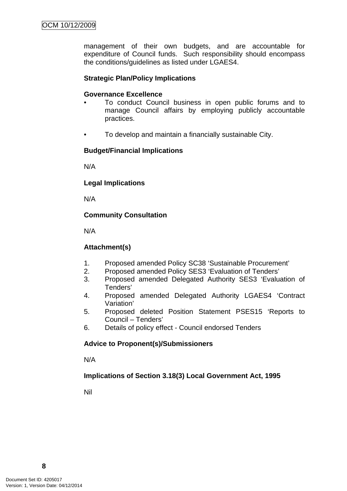management of their own budgets, and are accountable for expenditure of Council funds. Such responsibility should encompass the conditions/guidelines as listed under LGAES4.

### **Strategic Plan/Policy Implications**

#### **Governance Excellence**

- To conduct Council business in open public forums and to manage Council affairs by employing publicly accountable practices.
- To develop and maintain a financially sustainable City.

### **Budget/Financial Implications**

N/A

### **Legal Implications**

N/A

### **Community Consultation**

N/A

### **Attachment(s)**

- 1. Proposed amended Policy SC38 'Sustainable Procurement'
- 2. Proposed amended Policy SES3 'Evaluation of Tenders'
- 3. Proposed amended Delegated Authority SES3 'Evaluation of Tenders'
- 4. Proposed amended Delegated Authority LGAES4 'Contract Variation'
- 5. Proposed deleted Position Statement PSES15 'Reports to Council – Tenders'
- 6. Details of policy effect Council endorsed Tenders

## **Advice to Proponent(s)/Submissioners**

N/A

## **Implications of Section 3.18(3) Local Government Act, 1995**

Nil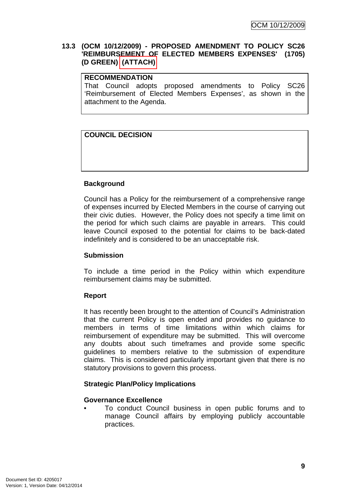### <span id="page-14-0"></span>**13.3 (OCM 10/12/2009) - PROPOSED AMENDMENT TO POLICY SC26 'REIMBURSEMENT OF ELECTED MEMBERS EXPENSES' (1705) (D GREEN) (ATTACH)**

### **RECOMMENDATION**

That Council adopts proposed amendments to Policy SC26 'Reimbursement of Elected Members Expenses', as shown in the attachment to the Agenda.

# **COUNCIL DECISION**

## **Background**

Council has a Policy for the reimbursement of a comprehensive range of expenses incurred by Elected Members in the course of carrying out their civic duties. However, the Policy does not specify a time limit on the period for which such claims are payable in arrears. This could leave Council exposed to the potential for claims to be back-dated indefinitely and is considered to be an unacceptable risk.

### **Submission**

To include a time period in the Policy within which expenditure reimbursement claims may be submitted.

## **Report**

It has recently been brought to the attention of Council's Administration that the current Policy is open ended and provides no guidance to members in terms of time limitations within which claims for reimbursement of expenditure may be submitted. This will overcome any doubts about such timeframes and provide some specific guidelines to members relative to the submission of expenditure claims. This is considered particularly important given that there is no statutory provisions to govern this process.

### **Strategic Plan/Policy Implications**

### **Governance Excellence**

• To conduct Council business in open public forums and to manage Council affairs by employing publicly accountable practices.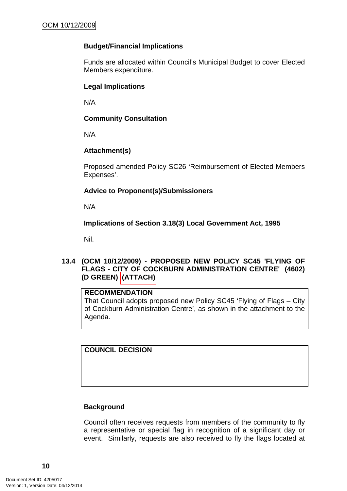### <span id="page-15-0"></span>**Budget/Financial Implications**

Funds are allocated within Council's Municipal Budget to cover Elected Members expenditure.

### **Legal Implications**

N/A

### **Community Consultation**

N/A

## **Attachment(s)**

Proposed amended Policy SC26 'Reimbursement of Elected Members Expenses'.

### **Advice to Proponent(s)/Submissioners**

N/A

### **Implications of Section 3.18(3) Local Government Act, 1995**

Nil.

### **13.4 (OCM 10/12/2009) - PROPOSED NEW POLICY SC45 'FLYING OF FLAGS - CITY OF COCKBURN ADMINISTRATION CENTRE' (4602) (D GREEN) (ATTACH)**

### **RECOMMENDATION**

That Council adopts proposed new Policy SC45 'Flying of Flags – City of Cockburn Administration Centre', as shown in the attachment to the Agenda.

**COUNCIL DECISION** 

### **Background**

Council often receives requests from members of the community to fly a representative or special flag in recognition of a significant day or event. Similarly, requests are also received to fly the flags located at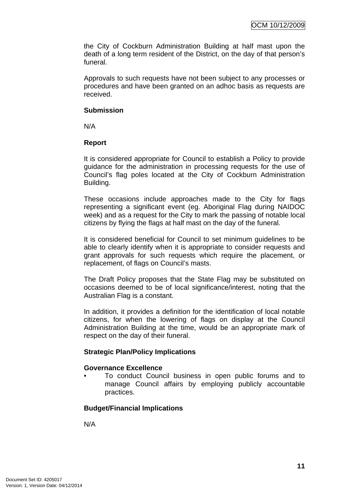the City of Cockburn Administration Building at half mast upon the death of a long term resident of the District, on the day of that person's funeral.

Approvals to such requests have not been subject to any processes or procedures and have been granted on an adhoc basis as requests are received.

#### **Submission**

N/A

### **Report**

It is considered appropriate for Council to establish a Policy to provide guidance for the administration in processing requests for the use of Council's flag poles located at the City of Cockburn Administration Building.

These occasions include approaches made to the City for flags representing a significant event (eg. Aboriginal Flag during NAIDOC week) and as a request for the City to mark the passing of notable local citizens by flying the flags at half mast on the day of the funeral.

It is considered beneficial for Council to set minimum guidelines to be able to clearly identify when it is appropriate to consider requests and grant approvals for such requests which require the placement, or replacement, of flags on Council's masts.

The Draft Policy proposes that the State Flag may be substituted on occasions deemed to be of local significance/interest, noting that the Australian Flag is a constant.

In addition, it provides a definition for the identification of local notable citizens, for when the lowering of flags on display at the Council Administration Building at the time, would be an appropriate mark of respect on the day of their funeral.

### **Strategic Plan/Policy Implications**

### **Governance Excellence**

• To conduct Council business in open public forums and to manage Council affairs by employing publicly accountable practices.

## **Budget/Financial Implications**

N/A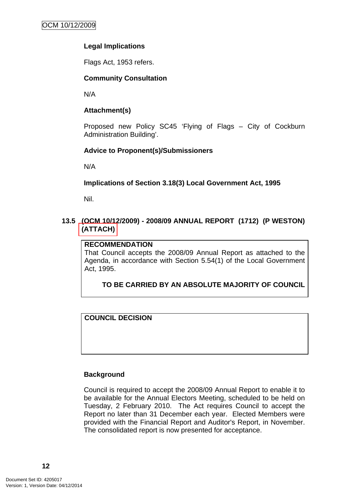## <span id="page-17-0"></span>**Legal Implications**

Flags Act, 1953 refers.

## **Community Consultation**

N/A

# **Attachment(s)**

Proposed new Policy SC45 'Flying of Flags – City of Cockburn Administration Building'.

## **Advice to Proponent(s)/Submissioners**

N/A

**Implications of Section 3.18(3) Local Government Act, 1995**

Nil.

### **13.5 (OCM 10/12/2009) - 2008/09 ANNUAL REPORT (1712) (P WESTON) (ATTACH)**

### **RECOMMENDATION**

That Council accepts the 2008/09 Annual Report as attached to the Agenda, in accordance with Section 5.54(1) of the Local Government Act, 1995.

## **TO BE CARRIED BY AN ABSOLUTE MAJORITY OF COUNCIL**

**COUNCIL DECISION** 

### **Background**

Council is required to accept the 2008/09 Annual Report to enable it to be available for the Annual Electors Meeting, scheduled to be held on Tuesday, 2 February 2010. The Act requires Council to accept the Report no later than 31 December each year. Elected Members were provided with the Financial Report and Auditor's Report, in November. The consolidated report is now presented for acceptance.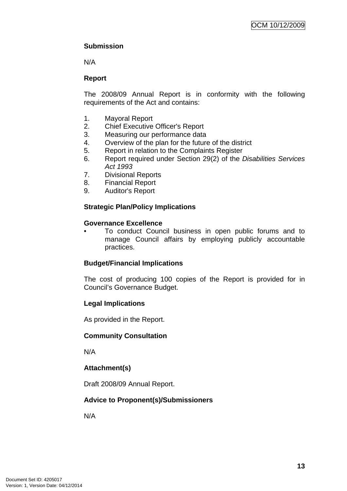# **Submission**

N/A

### **Report**

The 2008/09 Annual Report is in conformity with the following requirements of the Act and contains:

- 1. Mayoral Report
- 2. Chief Executive Officer's Report
- 3. Measuring our performance data
- 4. Overview of the plan for the future of the district
- 5. Report in relation to the Complaints Register
- 6. Report required under Section 29(2) of the *Disabilities Services Act 1993*
- 7. Divisional Reports
- 8. Financial Report
- 9. Auditor's Report

# **Strategic Plan/Policy Implications**

### **Governance Excellence**

• To conduct Council business in open public forums and to manage Council affairs by employing publicly accountable practices.

### **Budget/Financial Implications**

The cost of producing 100 copies of the Report is provided for in Council's Governance Budget.

### **Legal Implications**

As provided in the Report.

### **Community Consultation**

N/A

## **Attachment(s)**

Draft 2008/09 Annual Report.

## **Advice to Proponent(s)/Submissioners**

N/A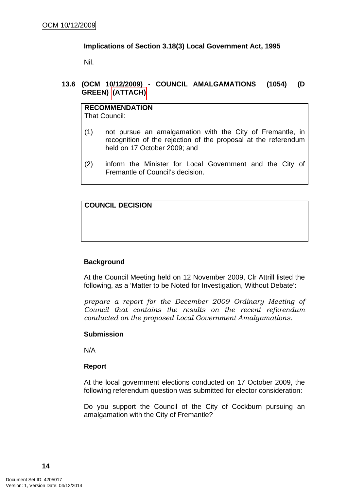### <span id="page-19-0"></span>**Implications of Section 3.18(3) Local Government Act, 1995**

Nil.

# **13.6 (OCM 10/12/2009) - COUNCIL AMALGAMATIONS (1054) (D GREEN) (ATTACH)**

#### **RECOMMENDATION** That Council:

- (1) not pursue an amalgamation with the City of Fremantle, in recognition of the rejection of the proposal at the referendum held on 17 October 2009; and
- (2) inform the Minister for Local Government and the City of Fremantle of Council's decision.

# **COUNCIL DECISION**

## **Background**

At the Council Meeting held on 12 November 2009, Clr Attrill listed the following, as a 'Matter to be Noted for Investigation, Without Debate':

*prepare a report for the December 2009 Ordinary Meeting of Council that contains the results on the recent referendum conducted on the proposed Local Government Amalgamations.* 

### **Submission**

N/A

### **Report**

At the local government elections conducted on 17 October 2009, the following referendum question was submitted for elector consideration:

Do you support the Council of the City of Cockburn pursuing an amalgamation with the City of Fremantle?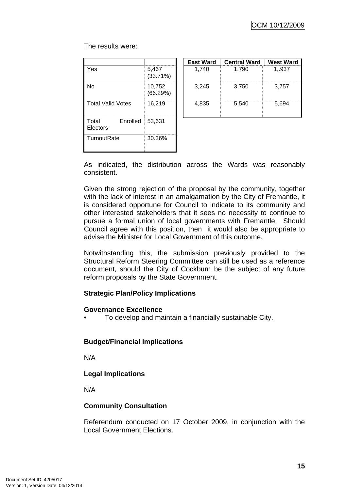The results were:

| Yes                           | 5,467<br>(33.71%)  |
|-------------------------------|--------------------|
| No                            | 10,752<br>(66.29%) |
| <b>Total Valid Votes</b>      | 16,219             |
| Total<br>Enrolled<br>Electors | 53,631             |
| TurnoutRate                   | 30.36%             |

|                   |                      | <b>East Ward</b> | <b>Central Ward</b> | West Ward |
|-------------------|----------------------|------------------|---------------------|-----------|
| Yes               | 5,467<br>$(33.71\%)$ | 1,740            | 1,790               | 1,.937    |
| No                | 10,752<br>(66.29%)   | 3,245            | 3,750               | 3,757     |
| Total Valid Votes | 16.219               | 4,835            | 5,540               | 5,694     |

As indicated, the distribution across the Wards was reasonably consistent.

Given the strong rejection of the proposal by the community, together with the lack of interest in an amalgamation by the City of Fremantle, it is considered opportune for Council to indicate to its community and other interested stakeholders that it sees no necessity to continue to pursue a formal union of local governments with Fremantle. Should Council agree with this position, then it would also be appropriate to advise the Minister for Local Government of this outcome.

Notwithstanding this, the submission previously provided to the Structural Reform Steering Committee can still be used as a reference document, should the City of Cockburn be the subject of any future reform proposals by the State Government.

## **Strategic Plan/Policy Implications**

## **Governance Excellence**

• To develop and maintain a financially sustainable City.

# **Budget/Financial Implications**

N/A

# **Legal Implications**

N/A

# **Community Consultation**

Referendum conducted on 17 October 2009, in conjunction with the Local Government Elections.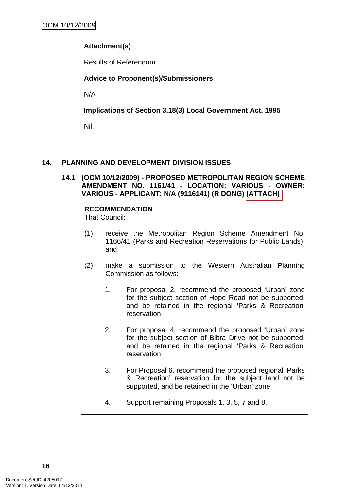# <span id="page-21-0"></span>**Attachment(s)**

Results of Referendum.

# **Advice to Proponent(s)/Submissioners**

N/A

**Implications of Section 3.18(3) Local Government Act, 1995**

Nil.

# **14. PLANNING AND DEVELOPMENT DIVISION ISSUES**

### **14.1 (OCM 10/12/2009) - PROPOSED METROPOLITAN REGION SCHEME AMENDMENT NO. 1161/41 - LOCATION: VARIOUS - OWNER: VARIOUS - APPLICANT: N/A (9116141) (R DONG) (ATTACH)**

# **RECOMMENDATION**

That Council:

- (1) receive the Metropolitan Region Scheme Amendment No. 1166/41 (Parks and Recreation Reservations for Public Lands); and
- (2) make a submission to the Western Australian Planning Commission as follows:
	- 1. For proposal 2, recommend the proposed 'Urban' zone for the subject section of Hope Road not be supported, and be retained in the regional 'Parks & Recreation' reservation.
	- 2. For proposal 4, recommend the proposed 'Urban' zone for the subject section of Bibra Drive not be supported, and be retained in the regional 'Parks & Recreation' reservation.
	- 3. For Proposal 6, recommend the proposed regional 'Parks & Recreation' reservation for the subject land not be supported, and be retained in the 'Urban' zone.
	- 4. Support remaining Proposals 1, 3, 5, 7 and 8.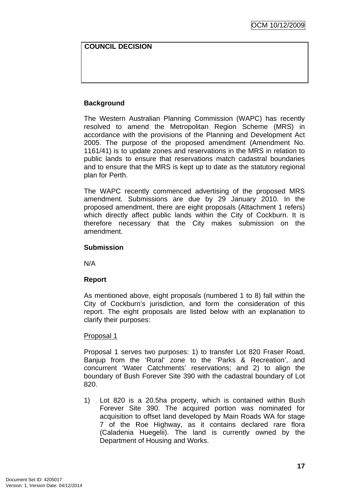### **COUNCIL DECISION**

### **Background**

The Western Australian Planning Commission (WAPC) has recently resolved to amend the Metropolitan Region Scheme (MRS) in accordance with the provisions of the Planning and Development Act 2005. The purpose of the proposed amendment (Amendment No. 1161/41) is to update zones and reservations in the MRS in relation to public lands to ensure that reservations match cadastral boundaries and to ensure that the MRS is kept up to date as the statutory regional plan for Perth.

The WAPC recently commenced advertising of the proposed MRS amendment. Submissions are due by 29 January 2010. In the proposed amendment, there are eight proposals (Attachment 1 refers) which directly affect public lands within the City of Cockburn. It is therefore necessary that the City makes submission on the amendment.

#### **Submission**

N/A

### **Report**

As mentioned above, eight proposals (numbered 1 to 8) fall within the City of Cockburn's jurisdiction, and form the consideration of this report. The eight proposals are listed below with an explanation to clarify their purposes:

### Proposal 1

Proposal 1 serves two purposes: 1) to transfer Lot 820 Fraser Road, Banjup from the 'Rural' zone to the 'Parks & Recreation', and concurrent 'Water Catchments' reservations; and 2) to align the boundary of Bush Forever Site 390 with the cadastral boundary of Lot 820.

1) Lot 820 is a 20.5ha property, which is contained within Bush Forever Site 390. The acquired portion was nominated for acquisition to offset land developed by Main Roads WA for stage 7 of the Roe Highway, as it contains declared rare flora (Caladenia Huegelii). The land is currently owned by the Department of Housing and Works.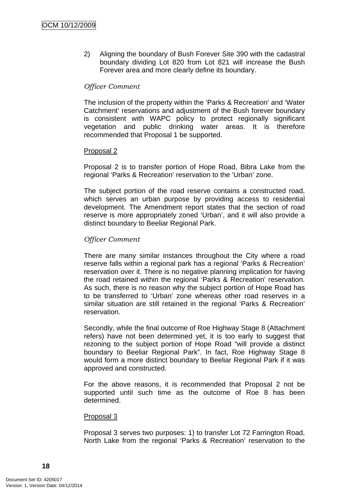2) Aligning the boundary of Bush Forever Site 390 with the cadastral boundary dividing Lot 820 from Lot 821 will increase the Bush Forever area and more clearly define its boundary.

### *Officer Comment*

The inclusion of the property within the 'Parks & Recreation' and 'Water Catchment' reservations and adjustment of the Bush forever boundary is consistent with WAPC policy to protect regionally significant vegetation and public drinking water areas. It is therefore recommended that Proposal 1 be supported.

### Proposal 2

Proposal 2 is to transfer portion of Hope Road, Bibra Lake from the regional 'Parks & Recreation' reservation to the 'Urban' zone.

The subject portion of the road reserve contains a constructed road, which serves an urban purpose by providing access to residential development. The Amendment report states that the section of road reserve is more appropriately zoned 'Urban', and it will also provide a distinct boundary to Beeliar Regional Park.

### *Officer Comment*

There are many similar instances throughout the City where a road reserve falls within a regional park has a regional 'Parks & Recreation' reservation over it. There is no negative planning implication for having the road retained within the regional 'Parks & Recreation' reservation. As such, there is no reason why the subject portion of Hope Road has to be transferred to 'Urban' zone whereas other road reserves in a similar situation are still retained in the regional 'Parks & Recreation' reservation.

Secondly, while the final outcome of Roe Highway Stage 8 (Attachment refers) have not been determined yet, it is too early to suggest that rezoning to the subject portion of Hope Road "will provide a distinct boundary to Beeliar Regional Park". In fact, Roe Highway Stage 8 would form a more distinct boundary to Beeliar Regional Park if it was approved and constructed.

For the above reasons, it is recommended that Proposal 2 not be supported until such time as the outcome of Roe 8 has been determined.

### Proposal 3

Proposal 3 serves two purposes: 1) to transfer Lot 72 Farrington Road, North Lake from the regional 'Parks & Recreation' reservation to the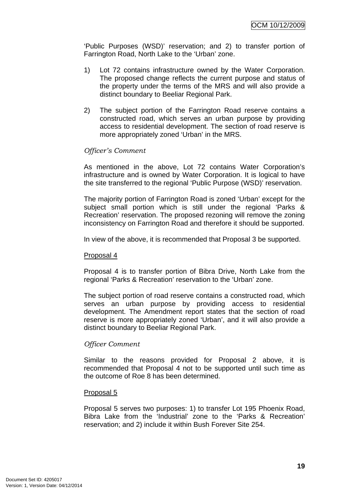'Public Purposes (WSD)' reservation; and 2) to transfer portion of Farrington Road, North Lake to the 'Urban' zone.

- 1) Lot 72 contains infrastructure owned by the Water Corporation. The proposed change reflects the current purpose and status of the property under the terms of the MRS and will also provide a distinct boundary to Beeliar Regional Park.
- 2) The subject portion of the Farrington Road reserve contains a constructed road, which serves an urban purpose by providing access to residential development. The section of road reserve is more appropriately zoned 'Urban' in the MRS.

### *Officer's Comment*

As mentioned in the above, Lot 72 contains Water Corporation's infrastructure and is owned by Water Corporation. It is logical to have the site transferred to the regional 'Public Purpose (WSD)' reservation.

The majority portion of Farrington Road is zoned 'Urban' except for the subject small portion which is still under the regional 'Parks & Recreation' reservation. The proposed rezoning will remove the zoning inconsistency on Farrington Road and therefore it should be supported.

In view of the above, it is recommended that Proposal 3 be supported.

#### Proposal 4

Proposal 4 is to transfer portion of Bibra Drive, North Lake from the regional 'Parks & Recreation' reservation to the 'Urban' zone.

The subject portion of road reserve contains a constructed road, which serves an urban purpose by providing access to residential development. The Amendment report states that the section of road reserve is more appropriately zoned 'Urban', and it will also provide a distinct boundary to Beeliar Regional Park.

#### *Officer Comment*

Similar to the reasons provided for Proposal 2 above, it is recommended that Proposal 4 not to be supported until such time as the outcome of Roe 8 has been determined.

#### Proposal 5

Proposal 5 serves two purposes: 1) to transfer Lot 195 Phoenix Road, Bibra Lake from the 'Industrial' zone to the 'Parks & Recreation' reservation; and 2) include it within Bush Forever Site 254.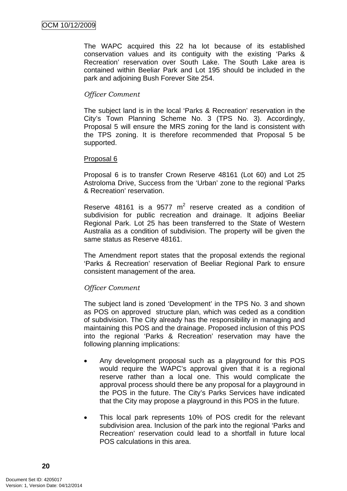The WAPC acquired this 22 ha lot because of its established conservation values and its contiguity with the existing 'Parks & Recreation' reservation over South Lake. The South Lake area is contained within Beeliar Park and Lot 195 should be included in the park and adjoining Bush Forever Site 254.

### *Officer Comment*

The subject land is in the local 'Parks & Recreation' reservation in the City's Town Planning Scheme No. 3 (TPS No. 3). Accordingly, Proposal 5 will ensure the MRS zoning for the land is consistent with the TPS zoning. It is therefore recommended that Proposal 5 be supported.

#### Proposal 6

Proposal 6 is to transfer Crown Reserve 48161 (Lot 60) and Lot 25 Astroloma Drive, Success from the 'Urban' zone to the regional 'Parks & Recreation' reservation.

Reserve  $48161$  is a  $9577 \text{ m}^2$  reserve created as a condition of subdivision for public recreation and drainage. It adjoins Beeliar Regional Park. Lot 25 has been transferred to the State of Western Australia as a condition of subdivision. The property will be given the same status as Reserve 48161.

The Amendment report states that the proposal extends the regional 'Parks & Recreation' reservation of Beeliar Regional Park to ensure consistent management of the area.

### *Officer Comment*

The subject land is zoned 'Development' in the TPS No. 3 and shown as POS on approved structure plan, which was ceded as a condition of subdivision. The City already has the responsibility in managing and maintaining this POS and the drainage. Proposed inclusion of this POS into the regional 'Parks & Recreation' reservation may have the following planning implications:

- Any development proposal such as a playground for this POS would require the WAPC's approval given that it is a regional reserve rather than a local one. This would complicate the approval process should there be any proposal for a playground in the POS in the future. The City's Parks Services have indicated that the City may propose a playground in this POS in the future.
- This local park represents 10% of POS credit for the relevant subdivision area. Inclusion of the park into the regional 'Parks and Recreation' reservation could lead to a shortfall in future local POS calculations in this area.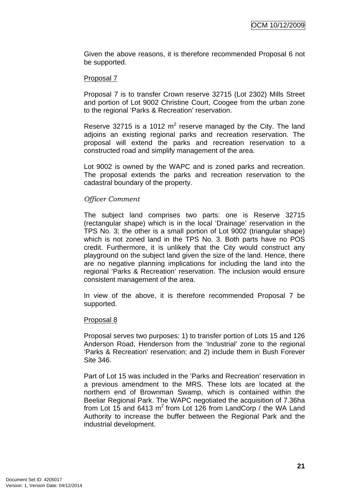Given the above reasons, it is therefore recommended Proposal 6 not be supported.

#### Proposal 7

Proposal 7 is to transfer Crown reserve 32715 (Lot 2302) Mills Street and portion of Lot 9002 Christine Court, Coogee from the urban zone to the regional 'Parks & Recreation' reservation.

Reserve 32715 is a 1012  $m^2$  reserve managed by the City. The land adjoins an existing regional parks and recreation reservation. The proposal will extend the parks and recreation reservation to a constructed road and simplify management of the area.

Lot 9002 is owned by the WAPC and is zoned parks and recreation. The proposal extends the parks and recreation reservation to the cadastral boundary of the property.

#### *Officer Comment*

The subject land comprises two parts: one is Reserve 32715 (rectangular shape) which is in the local 'Drainage' reservation in the TPS No. 3; the other is a small portion of Lot 9002 (triangular shape) which is not zoned land in the TPS No. 3. Both parts have no POS credit. Furthermore, it is unlikely that the City would construct any playground on the subject land given the size of the land. Hence, there are no negative planning implications for including the land into the regional 'Parks & Recreation' reservation. The inclusion would ensure consistent management of the area.

In view of the above, it is therefore recommended Proposal 7 be supported.

#### Proposal 8

Proposal serves two purposes: 1) to transfer portion of Lots 15 and 126 Anderson Road, Henderson from the 'Industrial' zone to the regional 'Parks & Recreation' reservation; and 2) include them in Bush Forever Site 346.

Part of Lot 15 was included in the 'Parks and Recreation' reservation in a previous amendment to the MRS. These lots are located at the northern end of Brownman Swamp, which is contained within the Beeliar Regional Park. The WAPC negotiated the acquisition of 7.36ha from Lot 15 and 6413  $m^2$  from Lot 126 from LandCorp / the WA Land Authority to increase the buffer between the Regional Park and the industrial development.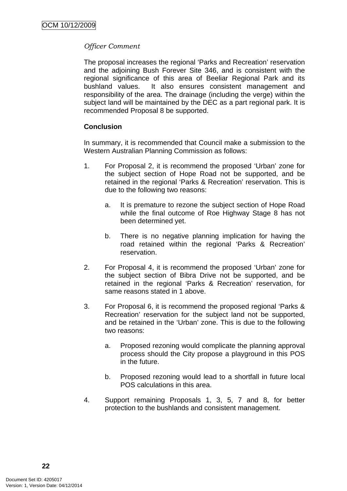### *Officer Comment*

The proposal increases the regional 'Parks and Recreation' reservation and the adjoining Bush Forever Site 346, and is consistent with the regional significance of this area of Beeliar Regional Park and its bushland values. It also ensures consistent management and responsibility of the area. The drainage (including the verge) within the subject land will be maintained by the DEC as a part regional park. It is recommended Proposal 8 be supported.

### **Conclusion**

In summary, it is recommended that Council make a submission to the Western Australian Planning Commission as follows:

- 1. For Proposal 2, it is recommend the proposed 'Urban' zone for the subject section of Hope Road not be supported, and be retained in the regional 'Parks & Recreation' reservation. This is due to the following two reasons:
	- a. It is premature to rezone the subject section of Hope Road while the final outcome of Roe Highway Stage 8 has not been determined yet.
	- b. There is no negative planning implication for having the road retained within the regional 'Parks & Recreation' reservation.
- 2. For Proposal 4, it is recommend the proposed 'Urban' zone for the subject section of Bibra Drive not be supported, and be retained in the regional 'Parks & Recreation' reservation, for same reasons stated in 1 above.
- 3. For Proposal 6, it is recommend the proposed regional 'Parks & Recreation' reservation for the subject land not be supported, and be retained in the 'Urban' zone. This is due to the following two reasons:
	- a. Proposed rezoning would complicate the planning approval process should the City propose a playground in this POS in the future.
	- b. Proposed rezoning would lead to a shortfall in future local POS calculations in this area.
- 4. Support remaining Proposals 1, 3, 5, 7 and 8, for better protection to the bushlands and consistent management.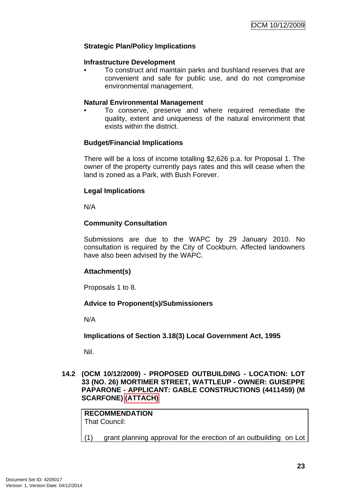### <span id="page-28-0"></span>**Strategic Plan/Policy Implications**

#### **Infrastructure Development**

• To construct and maintain parks and bushland reserves that are convenient and safe for public use, and do not compromise environmental management.

#### **Natural Environmental Management**

• To conserve, preserve and where required remediate the quality, extent and uniqueness of the natural environment that exists within the district.

### **Budget/Financial Implications**

There will be a loss of income totalling \$2,626 p.a. for Proposal 1. The owner of the property currently pays rates and this will cease when the land is zoned as a Park, with Bush Forever.

### **Legal Implications**

N/A

### **Community Consultation**

Submissions are due to the WAPC by 29 January 2010. No consultation is required by the City of Cockburn. Affected landowners have also been advised by the WAPC.

### **Attachment(s)**

Proposals 1 to 8.

### **Advice to Proponent(s)/Submissioners**

N/A

**Implications of Section 3.18(3) Local Government Act, 1995**

Nil.

**14.2 (OCM 10/12/2009) - PROPOSED OUTBUILDING - LOCATION: LOT 33 (NO. 26) MORTIMER STREET, WATTLEUP - OWNER: GUISEPPE PAPARONE - APPLICANT: GABLE CONSTRUCTIONS (4411459) (M SCARFONE) (ATTACH)** 

| <b>RECOMMENDATION</b> |  |
|-----------------------|--|
| <b>That Council:</b>  |  |

(1) grant planning approval for the erection of an outbuilding on Lot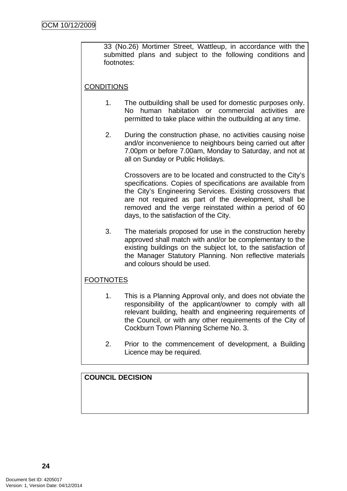33 (No.26) Mortimer Street, Wattleup, in accordance with the submitted plans and subject to the following conditions and footnotes:

# **CONDITIONS**

- 1. The outbuilding shall be used for domestic purposes only. No human habitation or commercial activities are permitted to take place within the outbuilding at any time.
- 2. During the construction phase, no activities causing noise and/or inconvenience to neighbours being carried out after 7.00pm or before 7.00am, Monday to Saturday, and not at all on Sunday or Public Holidays.

Crossovers are to be located and constructed to the City's specifications. Copies of specifications are available from the City's Engineering Services. Existing crossovers that are not required as part of the development, shall be removed and the verge reinstated within a period of 60 days, to the satisfaction of the City.

3. The materials proposed for use in the construction hereby approved shall match with and/or be complementary to the existing buildings on the subject lot, to the satisfaction of the Manager Statutory Planning. Non reflective materials and colours should be used.

# **FOOTNOTES**

- 1. This is a Planning Approval only, and does not obviate the responsibility of the applicant/owner to comply with all relevant building, health and engineering requirements of the Council, or with any other requirements of the City of Cockburn Town Planning Scheme No. 3.
- 2. Prior to the commencement of development, a Building Licence may be required.

# **COUNCIL DECISION**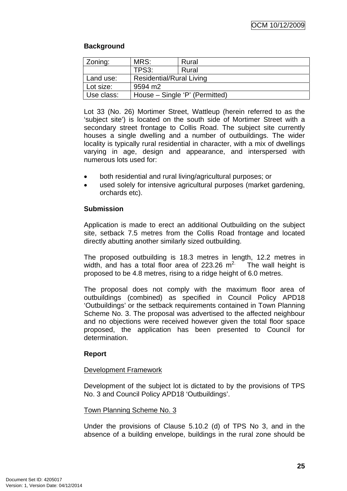## **Background**

| Zoning:    | MRS:                            | Rural |  |
|------------|---------------------------------|-------|--|
|            | TPS3:                           | Rural |  |
| Land use:  | <b>Residential/Rural Living</b> |       |  |
| Lot size:  | 9594 m2                         |       |  |
| Use class: | House – Single 'P' (Permitted)  |       |  |

Lot 33 (No. 26) Mortimer Street, Wattleup (herein referred to as the 'subject site') is located on the south side of Mortimer Street with a secondary street frontage to Collis Road. The subject site currently houses a single dwelling and a number of outbuildings. The wider locality is typically rural residential in character, with a mix of dwellings varying in age, design and appearance, and interspersed with numerous lots used for:

- both residential and rural living/agricultural purposes; or
- used solely for intensive agricultural purposes (market gardening, orchards etc).

### **Submission**

Application is made to erect an additional Outbuilding on the subject site, setback 7.5 metres from the Collis Road frontage and located directly abutting another similarly sized outbuilding.

The proposed outbuilding is 18.3 metres in length, 12.2 metres in width, and has a total floor area of 223.26  $m^2$ . The wall height is proposed to be 4.8 metres, rising to a ridge height of 6.0 metres.

The proposal does not comply with the maximum floor area of outbuildings (combined) as specified in Council Policy APD18 'Outbuildings' or the setback requirements contained in Town Planning Scheme No. 3. The proposal was advertised to the affected neighbour and no objections were received however given the total floor space proposed, the application has been presented to Council for determination.

### **Report**

#### Development Framework

Development of the subject lot is dictated to by the provisions of TPS No. 3 and Council Policy APD18 'Outbuildings'.

#### Town Planning Scheme No. 3

Under the provisions of Clause 5.10.2 (d) of TPS No 3, and in the absence of a building envelope, buildings in the rural zone should be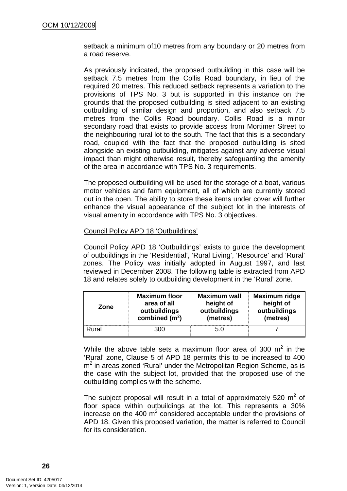setback a minimum of10 metres from any boundary or 20 metres from a road reserve.

As previously indicated, the proposed outbuilding in this case will be setback 7.5 metres from the Collis Road boundary, in lieu of the required 20 metres. This reduced setback represents a variation to the provisions of TPS No. 3 but is supported in this instance on the grounds that the proposed outbuilding is sited adjacent to an existing outbuilding of similar design and proportion, and also setback 7.5 metres from the Collis Road boundary. Collis Road is a minor secondary road that exists to provide access from Mortimer Street to the neighbouring rural lot to the south. The fact that this is a secondary road, coupled with the fact that the proposed outbuilding is sited alongside an existing outbuilding, mitigates against any adverse visual impact than might otherwise result, thereby safeguarding the amenity of the area in accordance with TPS No. 3 requirements.

The proposed outbuilding will be used for the storage of a boat, various motor vehicles and farm equipment, all of which are currently stored out in the open. The ability to store these items under cover will further enhance the visual appearance of the subject lot in the interests of visual amenity in accordance with TPS No. 3 objectives.

#### Council Policy APD 18 'Outbuildings'

Council Policy APD 18 'Outbuildings' exists to guide the development of outbuildings in the 'Residential', 'Rural Living', 'Resource' and 'Rural' zones. The Policy was initially adopted in August 1997, and last reviewed in December 2008. The following table is extracted from APD 18 and relates solely to outbuilding development in the 'Rural' zone.

| Zone  | <b>Maximum floor</b> | <b>Maximum wall</b> | Maximum ridge |
|-------|----------------------|---------------------|---------------|
|       | area of all          | height of           | height of     |
|       | outbuildings         | outbuildings        | outbuildings  |
|       | combined $(m2)$      | (metres)            | (metres)      |
| Rural | 300                  | 5.0                 |               |

While the above table sets a maximum floor area of 300  $m^2$  in the 'Rural' zone, Clause 5 of APD 18 permits this to be increased to 400  $m<sup>2</sup>$  in areas zoned 'Rural' under the Metropolitan Region Scheme, as is the case with the subject lot, provided that the proposed use of the outbuilding complies with the scheme.

The subject proposal will result in a total of approximately 520  $m^2$  of floor space within outbuildings at the lot. This represents a 30% increase on the 400  $m^2$  considered acceptable under the provisions of APD 18. Given this proposed variation, the matter is referred to Council for its consideration.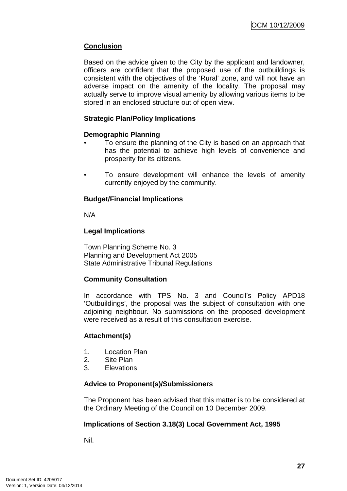## **Conclusion**

Based on the advice given to the City by the applicant and landowner, officers are confident that the proposed use of the outbuildings is consistent with the objectives of the 'Rural' zone, and will not have an adverse impact on the amenity of the locality. The proposal may actually serve to improve visual amenity by allowing various items to be stored in an enclosed structure out of open view.

### **Strategic Plan/Policy Implications**

### **Demographic Planning**

- To ensure the planning of the City is based on an approach that has the potential to achieve high levels of convenience and prosperity for its citizens.
- To ensure development will enhance the levels of amenity currently enjoyed by the community.

### **Budget/Financial Implications**

N/A

### **Legal Implications**

Town Planning Scheme No. 3 Planning and Development Act 2005 State Administrative Tribunal Regulations

## **Community Consultation**

In accordance with TPS No. 3 and Council's Policy APD18 'Outbuildings', the proposal was the subject of consultation with one adjoining neighbour. No submissions on the proposed development were received as a result of this consultation exercise.

## **Attachment(s)**

- 1. Location Plan
- 2. Site Plan
- 3. Elevations

## **Advice to Proponent(s)/Submissioners**

The Proponent has been advised that this matter is to be considered at the Ordinary Meeting of the Council on 10 December 2009.

## **Implications of Section 3.18(3) Local Government Act, 1995**

Nil.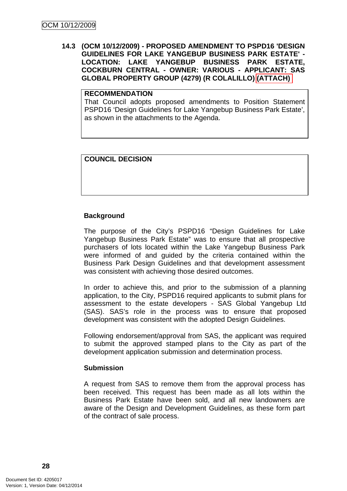### <span id="page-33-0"></span>**14.3 (OCM 10/12/2009) - PROPOSED AMENDMENT TO PSPD16 'DESIGN GUIDELINES FOR LAKE YANGEBUP BUSINESS PARK ESTATE' - LOCATION: LAKE YANGEBUP BUSINESS PARK ESTATE, COCKBURN CENTRAL - OWNER: VARIOUS - APPLICANT: SAS GLOBAL PROPERTY GROUP (4279) (R COLALILLO) (ATTACH)**

#### **RECOMMENDATION**

That Council adopts proposed amendments to Position Statement PSPD16 'Design Guidelines for Lake Yangebup Business Park Estate', as shown in the attachments to the Agenda.

### **COUNCIL DECISION**

### **Background**

The purpose of the City's PSPD16 "Design Guidelines for Lake Yangebup Business Park Estate" was to ensure that all prospective purchasers of lots located within the Lake Yangebup Business Park were informed of and guided by the criteria contained within the Business Park Design Guidelines and that development assessment was consistent with achieving those desired outcomes.

In order to achieve this, and prior to the submission of a planning application, to the City, PSPD16 required applicants to submit plans for assessment to the estate developers - SAS Global Yangebup Ltd (SAS). SAS's role in the process was to ensure that proposed development was consistent with the adopted Design Guidelines.

Following endorsement/approval from SAS, the applicant was required to submit the approved stamped plans to the City as part of the development application submission and determination process.

### **Submission**

A request from SAS to remove them from the approval process has been received. This request has been made as all lots within the Business Park Estate have been sold, and all new landowners are aware of the Design and Development Guidelines, as these form part of the contract of sale process.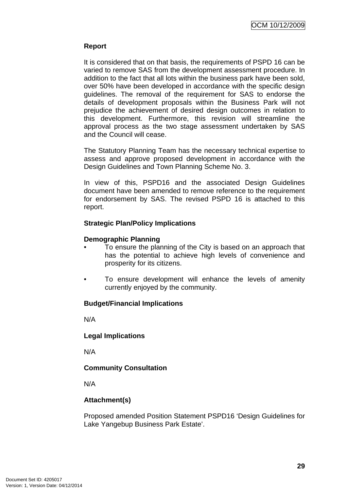### **Report**

It is considered that on that basis, the requirements of PSPD 16 can be varied to remove SAS from the development assessment procedure. In addition to the fact that all lots within the business park have been sold, over 50% have been developed in accordance with the specific design guidelines. The removal of the requirement for SAS to endorse the details of development proposals within the Business Park will not prejudice the achievement of desired design outcomes in relation to this development. Furthermore, this revision will streamline the approval process as the two stage assessment undertaken by SAS and the Council will cease.

The Statutory Planning Team has the necessary technical expertise to assess and approve proposed development in accordance with the Design Guidelines and Town Planning Scheme No. 3.

In view of this, PSPD16 and the associated Design Guidelines document have been amended to remove reference to the requirement for endorsement by SAS. The revised PSPD 16 is attached to this report.

### **Strategic Plan/Policy Implications**

### **Demographic Planning**

- To ensure the planning of the City is based on an approach that has the potential to achieve high levels of convenience and prosperity for its citizens.
- To ensure development will enhance the levels of amenity currently enjoyed by the community.

## **Budget/Financial Implications**

N/A

### **Legal Implications**

N/A

## **Community Consultation**

N/A

## **Attachment(s)**

Proposed amended Position Statement PSPD16 'Design Guidelines for Lake Yangebup Business Park Estate'.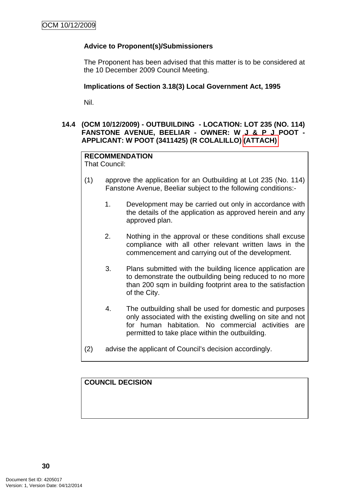## <span id="page-35-0"></span>**Advice to Proponent(s)/Submissioners**

The Proponent has been advised that this matter is to be considered at the 10 December 2009 Council Meeting.

### **Implications of Section 3.18(3) Local Government Act, 1995**

Nil.

### **14.4 (OCM 10/12/2009) - OUTBUILDING - LOCATION: LOT 235 (NO. 114) FANSTONE AVENUE, BEELIAR - OWNER: W J & P J POOT - APPLICANT: W POOT (3411425) (R COLALILLO) (ATTACH)**

#### **RECOMMENDATION** That Council:

- (1) approve the application for an Outbuilding at Lot 235 (No. 114) Fanstone Avenue, Beeliar subject to the following conditions:-
	- 1. Development may be carried out only in accordance with the details of the application as approved herein and any approved plan.
	- 2. Nothing in the approval or these conditions shall excuse compliance with all other relevant written laws in the commencement and carrying out of the development.
	- 3. Plans submitted with the building licence application are to demonstrate the outbuilding being reduced to no more than 200 sqm in building footprint area to the satisfaction of the City.
	- 4. The outbuilding shall be used for domestic and purposes only associated with the existing dwelling on site and not for human habitation. No commercial activities are permitted to take place within the outbuilding.
- (2) advise the applicant of Council's decision accordingly.

**COUNCIL DECISION**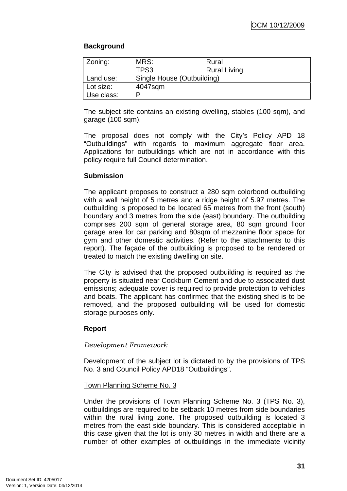## **Background**

| Zoning:    | MRS:                       | Rural               |  |
|------------|----------------------------|---------------------|--|
|            | TPS3                       | <b>Rural Living</b> |  |
| Land use:  | Single House (Outbuilding) |                     |  |
| Lot size:  | 4047sqm                    |                     |  |
| Use class: | D                          |                     |  |

The subject site contains an existing dwelling, stables (100 sqm), and garage (100 sqm).

The proposal does not comply with the City's Policy APD 18 "Outbuildings" with regards to maximum aggregate floor area. Applications for outbuildings which are not in accordance with this policy require full Council determination.

## **Submission**

The applicant proposes to construct a 280 sqm colorbond outbuilding with a wall height of 5 metres and a ridge height of 5.97 metres. The outbuilding is proposed to be located 65 metres from the front (south) boundary and 3 metres from the side (east) boundary. The outbuilding comprises 200 sqm of general storage area, 80 sqm ground floor garage area for car parking and 80sqm of mezzanine floor space for gym and other domestic activities. (Refer to the attachments to this report). The façade of the outbuilding is proposed to be rendered or treated to match the existing dwelling on site.

The City is advised that the proposed outbuilding is required as the property is situated near Cockburn Cement and due to associated dust emissions; adequate cover is required to provide protection to vehicles and boats. The applicant has confirmed that the existing shed is to be removed, and the proposed outbuilding will be used for domestic storage purposes only.

## **Report**

#### *Development Framework*

Development of the subject lot is dictated to by the provisions of TPS No. 3 and Council Policy APD18 "Outbuildings".

#### Town Planning Scheme No. 3

Under the provisions of Town Planning Scheme No. 3 (TPS No. 3), outbuildings are required to be setback 10 metres from side boundaries within the rural living zone. The proposed outbuilding is located 3 metres from the east side boundary. This is considered acceptable in this case given that the lot is only 30 metres in width and there are a number of other examples of outbuildings in the immediate vicinity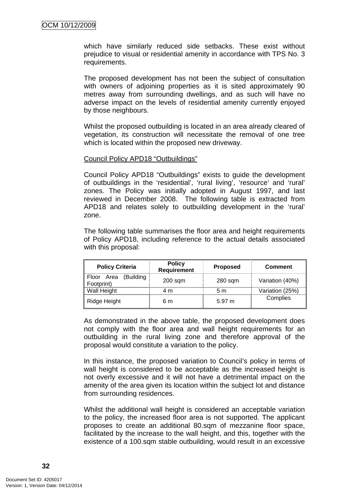which have similarly reduced side setbacks. These exist without prejudice to visual or residential amenity in accordance with TPS No. 3 requirements.

The proposed development has not been the subject of consultation with owners of adjoining properties as it is sited approximately 90 metres away from surrounding dwellings, and as such will have no adverse impact on the levels of residential amenity currently enjoyed by those neighbours.

Whilst the proposed outbuilding is located in an area already cleared of vegetation, its construction will necessitate the removal of one tree which is located within the proposed new driveway.

#### Council Policy APD18 "Outbuildings"

Council Policy APD18 "Outbuildings" exists to guide the development of outbuildings in the 'residential', 'rural living', 'resource' and 'rural' zones. The Policy was initially adopted in August 1997, and last reviewed in December 2008. The following table is extracted from APD18 and relates solely to outbuilding development in the 'rural' zone.

The following table summarises the floor area and height requirements of Policy APD18, including reference to the actual details associated with this proposal:

| <b>Policy Criteria</b>                | <b>Policy</b><br>Requirement | <b>Proposed</b> | <b>Comment</b>  |
|---------------------------------------|------------------------------|-----------------|-----------------|
| Floor Area<br>(Building<br>Footprint) | $200$ sqm                    | $280$ sqm       | Variation (40%) |
| Wall Height                           | 4 m                          | 5 m             | Variation (25%) |
| Ridge Height                          | 6 m                          | 5.97 m          | Complies        |

As demonstrated in the above table, the proposed development does not comply with the floor area and wall height requirements for an outbuilding in the rural living zone and therefore approval of the proposal would constitute a variation to the policy.

In this instance, the proposed variation to Council's policy in terms of wall height is considered to be acceptable as the increased height is not overly excessive and it will not have a detrimental impact on the amenity of the area given its location within the subject lot and distance from surrounding residences.

Whilst the additional wall height is considered an acceptable variation to the policy, the increased floor area is not supported. The applicant proposes to create an additional 80.sqm of mezzanine floor space, facilitated by the increase to the wall height, and this, together with the existence of a 100.sqm stable outbuilding, would result in an excessive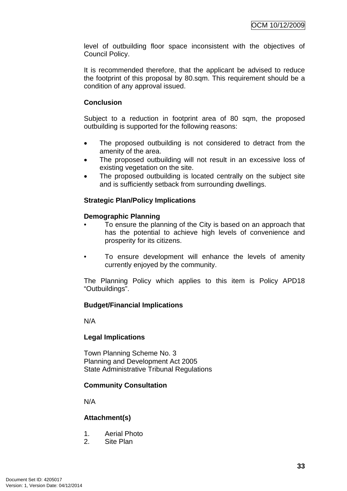level of outbuilding floor space inconsistent with the objectives of Council Policy.

It is recommended therefore, that the applicant be advised to reduce the footprint of this proposal by 80.sqm. This requirement should be a condition of any approval issued.

## **Conclusion**

Subject to a reduction in footprint area of 80 sqm, the proposed outbuilding is supported for the following reasons:

- The proposed outbuilding is not considered to detract from the amenity of the area.
- The proposed outbuilding will not result in an excessive loss of existing vegetation on the site.
- The proposed outbuilding is located centrally on the subject site and is sufficiently setback from surrounding dwellings.

## **Strategic Plan/Policy Implications**

## **Demographic Planning**

- To ensure the planning of the City is based on an approach that has the potential to achieve high levels of convenience and prosperity for its citizens.
- To ensure development will enhance the levels of amenity currently enjoyed by the community.

The Planning Policy which applies to this item is Policy APD18 "Outbuildings".

## **Budget/Financial Implications**

N/A

## **Legal Implications**

Town Planning Scheme No. 3 Planning and Development Act 2005 State Administrative Tribunal Regulations

#### **Community Consultation**

N/A

## **Attachment(s)**

- 1. Aerial Photo
- 2. Site Plan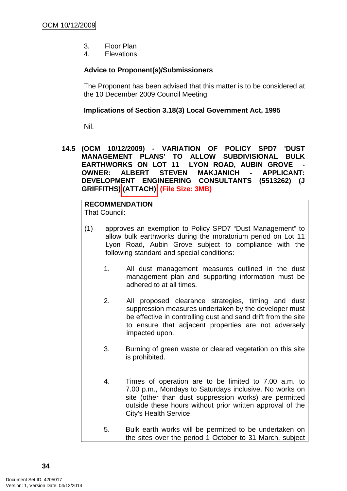- 3. Floor Plan
- 4. Elevations

## **Advice to Proponent(s)/Submissioners**

The Proponent has been advised that this matter is to be considered at the 10 December 2009 Council Meeting.

**Implications of Section 3.18(3) Local Government Act, 1995**

Nil.

**14.5 (OCM 10/12/2009) - VARIATION OF POLICY SPD7 'DUST MANAGEMENT PLANS' TO ALLOW SUBDIVISIONAL BULK EARTHWORKS ON LOT 11 LYON ROAD, AUBIN GROVE OWNER: ALBERT STEVEN MAKJANICH - APPLICANT: DEVELOPMENT ENGINEERING CONSULTANTS (5513262) (J GRIFFITHS) (ATTACH) (File Size: 3MB)**

**RECOMMENDATION** That Council:

- (1) approves an exemption to Policy SPD7 "Dust Management" to allow bulk earthworks during the moratorium period on Lot 11 Lyon Road, Aubin Grove subject to compliance with the following standard and special conditions:
	- 1. All dust management measures outlined in the dust management plan and supporting information must be adhered to at all times.
	- 2. All proposed clearance strategies, timing and dust suppression measures undertaken by the developer must be effective in controlling dust and sand drift from the site to ensure that adjacent properties are not adversely impacted upon.
	- 3. Burning of green waste or cleared vegetation on this site is prohibited.
	- 4. Times of operation are to be limited to 7.00 a.m. to 7.00 p.m., Mondays to Saturdays inclusive. No works on site (other than dust suppression works) are permitted outside these hours without prior written approval of the City's Health Service.
	- 5. Bulk earth works will be permitted to be undertaken on the sites over the period 1 October to 31 March, subject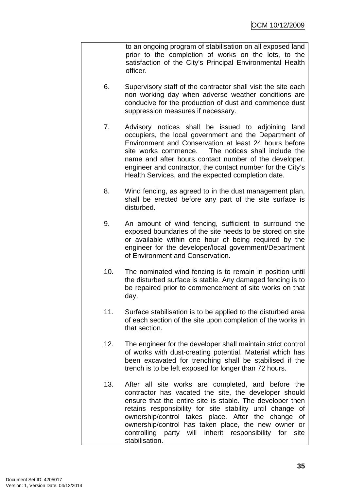to an ongoing program of stabilisation on all exposed land prior to the completion of works on the lots, to the satisfaction of the City's Principal Environmental Health officer.

- 6. Supervisory staff of the contractor shall visit the site each non working day when adverse weather conditions are conducive for the production of dust and commence dust suppression measures if necessary.
- 7. Advisory notices shall be issued to adjoining land occupiers, the local government and the Department of Environment and Conservation at least 24 hours before site works commence. The notices shall include the name and after hours contact number of the developer, engineer and contractor, the contact number for the City's Health Services, and the expected completion date.
- 8. Wind fencing, as agreed to in the dust management plan, shall be erected before any part of the site surface is disturbed.
- 9. An amount of wind fencing, sufficient to surround the exposed boundaries of the site needs to be stored on site or available within one hour of being required by the engineer for the developer/local government/Department of Environment and Conservation.
- 10. The nominated wind fencing is to remain in position until the disturbed surface is stable. Any damaged fencing is to be repaired prior to commencement of site works on that day.
- 11. Surface stabilisation is to be applied to the disturbed area of each section of the site upon completion of the works in that section.
- 12. The engineer for the developer shall maintain strict control of works with dust-creating potential. Material which has been excavated for trenching shall be stabilised if the trench is to be left exposed for longer than 72 hours.
- 13. After all site works are completed, and before the contractor has vacated the site, the developer should ensure that the entire site is stable. The developer then retains responsibility for site stability until change of ownership/control takes place. After the change of ownership/control has taken place, the new owner or controlling party will inherit responsibility for site stabilisation.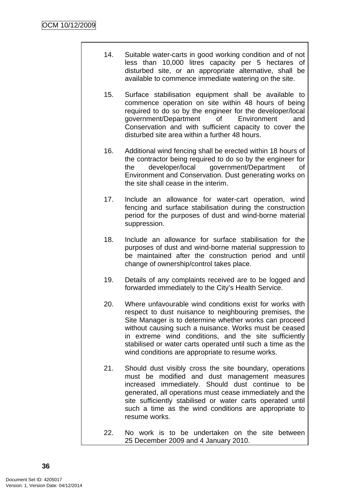- 14. Suitable water-carts in good working condition and of not less than 10,000 litres capacity per 5 hectares of disturbed site, or an appropriate alternative, shall be available to commence immediate watering on the site.
- 15. Surface stabilisation equipment shall be available to commence operation on site within 48 hours of being required to do so by the engineer for the developer/local government/Department of Environment and Conservation and with sufficient capacity to cover the disturbed site area within a further 48 hours.
- 16. Additional wind fencing shall be erected within 18 hours of the contractor being required to do so by the engineer for the developer/local government/Department of Environment and Conservation. Dust generating works on the site shall cease in the interim.
- 17. Include an allowance for water-cart operation, wind fencing and surface stabilisation during the construction period for the purposes of dust and wind-borne material suppression.
- 18. Include an allowance for surface stabilisation for the purposes of dust and wind-borne material suppression to be maintained after the construction period and until change of ownership/control takes place.
- 19. Details of any complaints received are to be logged and forwarded immediately to the City's Health Service.
- 20. Where unfavourable wind conditions exist for works with respect to dust nuisance to neighbouring premises, the Site Manager is to determine whether works can proceed without causing such a nuisance. Works must be ceased in extreme wind conditions, and the site sufficiently stabilised or water carts operated until such a time as the wind conditions are appropriate to resume works.
- 21. Should dust visibly cross the site boundary, operations must be modified and dust management measures increased immediately. Should dust continue to be generated, all operations must cease immediately and the site sufficiently stabilised or water carts operated until such a time as the wind conditions are appropriate to resume works.
- 22. No work is to be undertaken on the site between 25 December 2009 and 4 January 2010.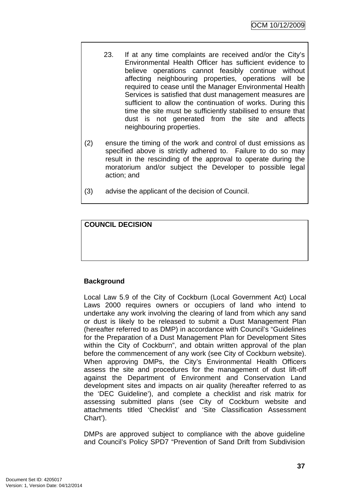- 23. If at any time complaints are received and/or the City's Environmental Health Officer has sufficient evidence to believe operations cannot feasibly continue without affecting neighbouring properties, operations will be required to cease until the Manager Environmental Health Services is satisfied that dust management measures are sufficient to allow the continuation of works. During this time the site must be sufficiently stabilised to ensure that dust is not generated from the site and affects neighbouring properties.
- (2) ensure the timing of the work and control of dust emissions as specified above is strictly adhered to. Failure to do so may result in the rescinding of the approval to operate during the moratorium and/or subject the Developer to possible legal action; and
- (3) advise the applicant of the decision of Council.

# **COUNCIL DECISION**

## **Background**

Local Law 5.9 of the City of Cockburn (Local Government Act) Local Laws 2000 requires owners or occupiers of land who intend to undertake any work involving the clearing of land from which any sand or dust is likely to be released to submit a Dust Management Plan (hereafter referred to as DMP) in accordance with Council's "Guidelines for the Preparation of a Dust Management Plan for Development Sites within the City of Cockburn", and obtain written approval of the plan before the commencement of any work (see City of Cockburn website). When approving DMPs, the City's Environmental Health Officers assess the site and procedures for the management of dust lift-off against the Department of Environment and Conservation Land development sites and impacts on air quality (hereafter referred to as the 'DEC Guideline'), and complete a checklist and risk matrix for assessing submitted plans (see City of Cockburn website and attachments titled 'Checklist' and 'Site Classification Assessment Chart').

DMPs are approved subject to compliance with the above guideline and Council's Policy SPD7 "Prevention of Sand Drift from Subdivision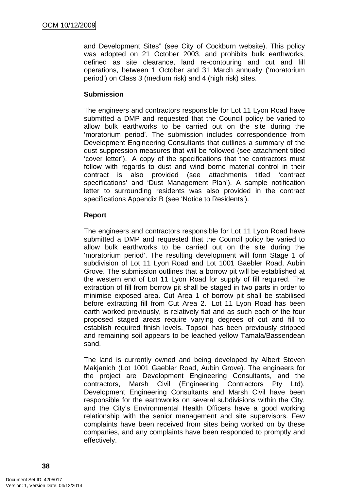and Development Sites" (see City of Cockburn website). This policy was adopted on 21 October 2003, and prohibits bulk earthworks, defined as site clearance, land re-contouring and cut and fill operations, between 1 October and 31 March annually ('moratorium period') on Class 3 (medium risk) and 4 (high risk) sites.

#### **Submission**

The engineers and contractors responsible for Lot 11 Lyon Road have submitted a DMP and requested that the Council policy be varied to allow bulk earthworks to be carried out on the site during the 'moratorium period'. The submission includes correspondence from Development Engineering Consultants that outlines a summary of the dust suppression measures that will be followed (see attachment titled 'cover letter'). A copy of the specifications that the contractors must follow with regards to dust and wind borne material control in their contract is also provided (see attachments titled 'contract specifications' and 'Dust Management Plan'). A sample notification letter to surrounding residents was also provided in the contract specifications Appendix B (see 'Notice to Residents').

## **Report**

The engineers and contractors responsible for Lot 11 Lyon Road have submitted a DMP and requested that the Council policy be varied to allow bulk earthworks to be carried out on the site during the 'moratorium period'. The resulting development will form Stage 1 of subdivision of Lot 11 Lyon Road and Lot 1001 Gaebler Road, Aubin Grove. The submission outlines that a borrow pit will be established at the western end of Lot 11 Lyon Road for supply of fill required. The extraction of fill from borrow pit shall be staged in two parts in order to minimise exposed area. Cut Area 1 of borrow pit shall be stabilised before extracting fill from Cut Area 2. Lot 11 Lyon Road has been earth worked previously, is relatively flat and as such each of the four proposed staged areas require varying degrees of cut and fill to establish required finish levels. Topsoil has been previously stripped and remaining soil appears to be leached yellow Tamala/Bassendean sand.

The land is currently owned and being developed by Albert Steven Makjanich (Lot 1001 Gaebler Road, Aubin Grove). The engineers for the project are Development Engineering Consultants, and the contractors, Marsh Civil (Engineering Contractors Pty Ltd). Development Engineering Consultants and Marsh Civil have been responsible for the earthworks on several subdivisions within the City, and the City's Environmental Health Officers have a good working relationship with the senior management and site supervisors. Few complaints have been received from sites being worked on by these companies, and any complaints have been responded to promptly and effectively.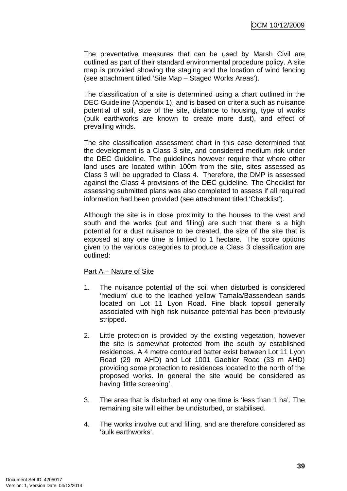The preventative measures that can be used by Marsh Civil are outlined as part of their standard environmental procedure policy. A site map is provided showing the staging and the location of wind fencing (see attachment titled 'Site Map – Staged Works Areas').

The classification of a site is determined using a chart outlined in the DEC Guideline (Appendix 1), and is based on criteria such as nuisance potential of soil, size of the site, distance to housing, type of works (bulk earthworks are known to create more dust), and effect of prevailing winds.

The site classification assessment chart in this case determined that the development is a Class 3 site, and considered medium risk under the DEC Guideline. The guidelines however require that where other land uses are located within 100m from the site, sites assessed as Class 3 will be upgraded to Class 4. Therefore, the DMP is assessed against the Class 4 provisions of the DEC guideline. The Checklist for assessing submitted plans was also completed to assess if all required information had been provided (see attachment titled 'Checklist').

Although the site is in close proximity to the houses to the west and south and the works (cut and filling) are such that there is a high potential for a dust nuisance to be created, the size of the site that is exposed at any one time is limited to 1 hectare. The score options given to the various categories to produce a Class 3 classification are outlined:

#### Part A – Nature of Site

- 1. The nuisance potential of the soil when disturbed is considered 'medium' due to the leached yellow Tamala/Bassendean sands located on Lot 11 Lyon Road. Fine black topsoil generally associated with high risk nuisance potential has been previously stripped.
- 2. Little protection is provided by the existing vegetation, however the site is somewhat protected from the south by established residences. A 4 metre contoured batter exist between Lot 11 Lyon Road (29 m AHD) and Lot 1001 Gaebler Road (33 m AHD) providing some protection to residences located to the north of the proposed works. In general the site would be considered as having 'little screening'.
- 3. The area that is disturbed at any one time is 'less than 1 ha'. The remaining site will either be undisturbed, or stabilised.
- 4. The works involve cut and filling, and are therefore considered as 'bulk earthworks'.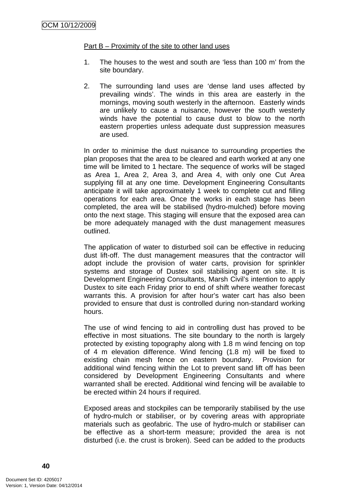#### Part B – Proximity of the site to other land uses

- 1. The houses to the west and south are 'less than 100 m' from the site boundary.
- 2. The surrounding land uses are 'dense land uses affected by prevailing winds'. The winds in this area are easterly in the mornings, moving south westerly in the afternoon. Easterly winds are unlikely to cause a nuisance, however the south westerly winds have the potential to cause dust to blow to the north eastern properties unless adequate dust suppression measures are used.

In order to minimise the dust nuisance to surrounding properties the plan proposes that the area to be cleared and earth worked at any one time will be limited to 1 hectare. The sequence of works will be staged as Area 1, Area 2, Area 3, and Area 4, with only one Cut Area supplying fill at any one time. Development Engineering Consultants anticipate it will take approximately 1 week to complete cut and filling operations for each area. Once the works in each stage has been completed, the area will be stabilised (hydro-mulched) before moving onto the next stage. This staging will ensure that the exposed area can be more adequately managed with the dust management measures outlined.

The application of water to disturbed soil can be effective in reducing dust lift-off. The dust management measures that the contractor will adopt include the provision of water carts, provision for sprinkler systems and storage of Dustex soil stabilising agent on site. It is Development Engineering Consultants, Marsh Civil's intention to apply Dustex to site each Friday prior to end of shift where weather forecast warrants this. A provision for after hour's water cart has also been provided to ensure that dust is controlled during non-standard working hours.

The use of wind fencing to aid in controlling dust has proved to be effective in most situations. The site boundary to the north is largely protected by existing topography along with 1.8 m wind fencing on top of 4 m elevation difference. Wind fencing (1.8 m) will be fixed to existing chain mesh fence on eastern boundary. Provision for additional wind fencing within the Lot to prevent sand lift off has been considered by Development Engineering Consultants and where warranted shall be erected. Additional wind fencing will be available to be erected within 24 hours if required.

Exposed areas and stockpiles can be temporarily stabilised by the use of hydro-mulch or stabiliser, or by covering areas with appropriate materials such as geofabric. The use of hydro-mulch or stabiliser can be effective as a short-term measure; provided the area is not disturbed (i.e. the crust is broken). Seed can be added to the products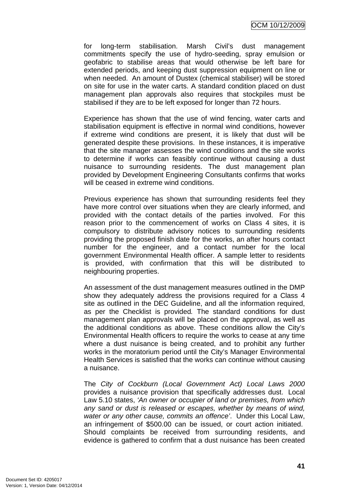for long-term stabilisation. Marsh Civil's dust management commitments specify the use of hydro-seeding, spray emulsion or geofabric to stabilise areas that would otherwise be left bare for extended periods, and keeping dust suppression equipment on line or when needed. An amount of Dustex (chemical stabiliser) will be stored on site for use in the water carts. A standard condition placed on dust management plan approvals also requires that stockpiles must be stabilised if they are to be left exposed for longer than 72 hours.

Experience has shown that the use of wind fencing, water carts and stabilisation equipment is effective in normal wind conditions, however if extreme wind conditions are present, it is likely that dust will be generated despite these provisions. In these instances, it is imperative that the site manager assesses the wind conditions and the site works to determine if works can feasibly continue without causing a dust nuisance to surrounding residents. The dust management plan provided by Development Engineering Consultants confirms that works will be ceased in extreme wind conditions.

Previous experience has shown that surrounding residents feel they have more control over situations when they are clearly informed, and provided with the contact details of the parties involved. For this reason prior to the commencement of works on Class 4 sites, it is compulsory to distribute advisory notices to surrounding residents providing the proposed finish date for the works, an after hours contact number for the engineer, and a contact number for the local government Environmental Health officer. A sample letter to residents is provided, with confirmation that this will be distributed to neighbouring properties.

An assessment of the dust management measures outlined in the DMP show they adequately address the provisions required for a Class 4 site as outlined in the DEC Guideline, and all the information required, as per the Checklist is provided*.* The standard conditions for dust management plan approvals will be placed on the approval, as well as the additional conditions as above. These conditions allow the City's Environmental Health officers to require the works to cease at any time where a dust nuisance is being created, and to prohibit any further works in the moratorium period until the City's Manager Environmental Health Services is satisfied that the works can continue without causing a nuisance.

The *City of Cockburn (Local Government Act) Local Laws 2000* provides a nuisance provision that specifically addresses dust. Local Law 5.10 states, *'An owner or occupier of land or premises, from which any sand or dust is released or escapes, whether by means of wind, water or any other cause, commits an offence'*. Under this Local Law, an infringement of \$500.00 can be issued, or court action initiated. Should complaints be received from surrounding residents, and evidence is gathered to confirm that a dust nuisance has been created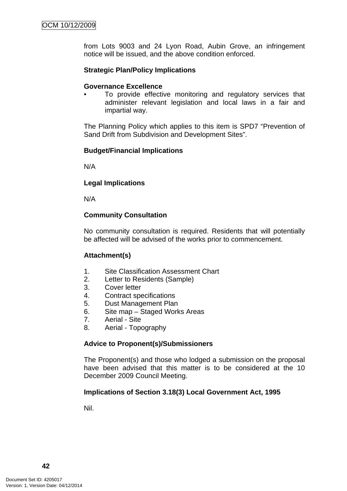from Lots 9003 and 24 Lyon Road, Aubin Grove, an infringement notice will be issued, and the above condition enforced.

#### **Strategic Plan/Policy Implications**

#### **Governance Excellence**

To provide effective monitoring and regulatory services that administer relevant legislation and local laws in a fair and impartial way.

The Planning Policy which applies to this item is SPD7 "Prevention of Sand Drift from Subdivision and Development Sites".

#### **Budget/Financial Implications**

N/A

#### **Legal Implications**

N/A

#### **Community Consultation**

No community consultation is required. Residents that will potentially be affected will be advised of the works prior to commencement.

#### **Attachment(s)**

- 1. Site Classification Assessment Chart
- 2. Letter to Residents (Sample)
- 3. Cover letter
- 4. Contract specifications
- 5. Dust Management Plan
- 6. Site map Staged Works Areas
- 7. Aerial Site
- 8. Aerial Topography

#### **Advice to Proponent(s)/Submissioners**

The Proponent(s) and those who lodged a submission on the proposal have been advised that this matter is to be considered at the 10 December 2009 Council Meeting.

#### **Implications of Section 3.18(3) Local Government Act, 1995**

Nil.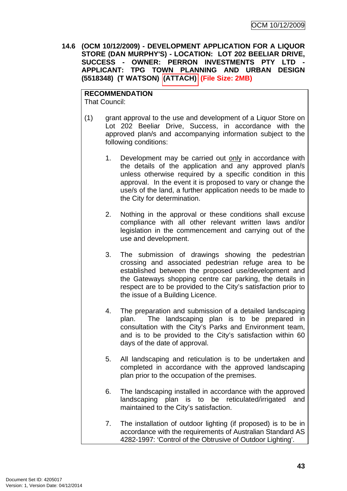**14.6 (OCM 10/12/2009) - DEVELOPMENT APPLICATION FOR A LIQUOR STORE (DAN MURPHY'S) - LOCATION: LOT 202 BEELIAR DRIVE, SUCCESS - OWNER: PERRON INVESTMENTS PTY LTD - APPLICANT: TPG TOWN PLANNING AND URBAN DESIGN (5518348) (T WATSON) (ATTACH) (File Size: 2MB)**

**RECOMMENDATION** That Council:

- (1) grant approval to the use and development of a Liquor Store on Lot 202 Beeliar Drive, Success, in accordance with the approved plan/s and accompanying information subject to the following conditions:
	- 1. Development may be carried out only in accordance with the details of the application and any approved plan/s unless otherwise required by a specific condition in this approval. In the event it is proposed to vary or change the use/s of the land, a further application needs to be made to the City for determination.
	- 2. Nothing in the approval or these conditions shall excuse compliance with all other relevant written laws and/or legislation in the commencement and carrying out of the use and development.
	- 3. The submission of drawings showing the pedestrian crossing and associated pedestrian refuge area to be established between the proposed use/development and the Gateways shopping centre car parking, the details in respect are to be provided to the City's satisfaction prior to the issue of a Building Licence.
	- 4. The preparation and submission of a detailed landscaping plan. The landscaping plan is to be prepared in consultation with the City's Parks and Environment team, and is to be provided to the City's satisfaction within 60 days of the date of approval.
	- 5. All landscaping and reticulation is to be undertaken and completed in accordance with the approved landscaping plan prior to the occupation of the premises.
	- 6. The landscaping installed in accordance with the approved landscaping plan is to be reticulated/irrigated and maintained to the City's satisfaction.
	- 7. The installation of outdoor lighting (if proposed) is to be in accordance with the requirements of Australian Standard AS 4282-1997: 'Control of the Obtrusive of Outdoor Lighting'.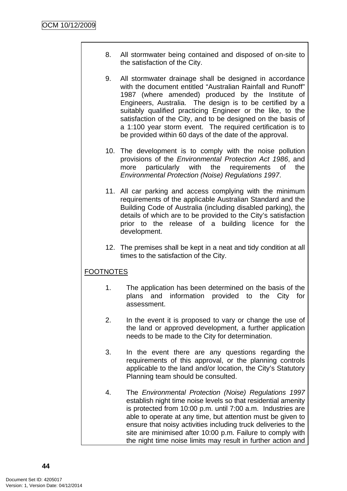- 8. All stormwater being contained and disposed of on-site to the satisfaction of the City.
- 9. All stormwater drainage shall be designed in accordance with the document entitled "Australian Rainfall and Runoff" 1987 (where amended) produced by the Institute of Engineers, Australia. The design is to be certified by a suitably qualified practicing Engineer or the like, to the satisfaction of the City, and to be designed on the basis of a 1:100 year storm event. The required certification is to be provided within 60 days of the date of the approval.
- 10. The development is to comply with the noise pollution provisions of the *Environmental Protection Act 1986*, and more particularly with the requirements of the *Environmental Protection (Noise) Regulations 1997*.
- 11. All car parking and access complying with the minimum requirements of the applicable Australian Standard and the Building Code of Australia (including disabled parking), the details of which are to be provided to the City's satisfaction prior to the release of a building licence for the development.
- 12. The premises shall be kept in a neat and tidy condition at all times to the satisfaction of the City.

## **FOOTNOTES**

- 1. The application has been determined on the basis of the plans and information provided to the City for assessment.
- 2. In the event it is proposed to vary or change the use of the land or approved development, a further application needs to be made to the City for determination.
- 3. In the event there are any questions regarding the requirements of this approval, or the planning controls applicable to the land and/or location, the City's Statutory Planning team should be consulted.
- 4. The *Environmental Protection (Noise) Regulations 1997* establish night time noise levels so that residential amenity is protected from 10:00 p.m. until 7:00 a.m. Industries are able to operate at any time, but attention must be given to ensure that noisy activities including truck deliveries to the site are minimised after 10:00 p.m. Failure to comply with the night time noise limits may result in further action and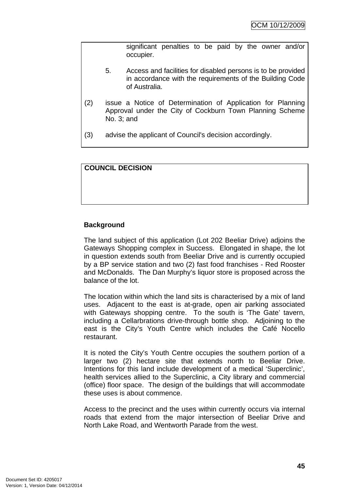significant penalties to be paid by the owner and/or occupier.

- 5. Access and facilities for disabled persons is to be provided in accordance with the requirements of the Building Code of Australia.
- (2) issue a Notice of Determination of Application for Planning Approval under the City of Cockburn Town Planning Scheme No. 3; and
- (3) advise the applicant of Council's decision accordingly.

## **COUNCIL DECISION**

## **Background**

The land subject of this application (Lot 202 Beeliar Drive) adjoins the Gateways Shopping complex in Success. Elongated in shape, the lot in question extends south from Beeliar Drive and is currently occupied by a BP service station and two (2) fast food franchises - Red Rooster and McDonalds. The Dan Murphy's liquor store is proposed across the balance of the lot.

The location within which the land sits is characterised by a mix of land uses. Adjacent to the east is at-grade, open air parking associated with Gateways shopping centre. To the south is 'The Gate' tavern, including a Cellarbrations drive-through bottle shop. Adjoining to the east is the City's Youth Centre which includes the Café Nocello restaurant.

It is noted the City's Youth Centre occupies the southern portion of a larger two (2) hectare site that extends north to Beeliar Drive. Intentions for this land include development of a medical 'Superclinic', health services allied to the Superclinic, a City library and commercial (office) floor space. The design of the buildings that will accommodate these uses is about commence.

Access to the precinct and the uses within currently occurs via internal roads that extend from the major intersection of Beeliar Drive and North Lake Road, and Wentworth Parade from the west.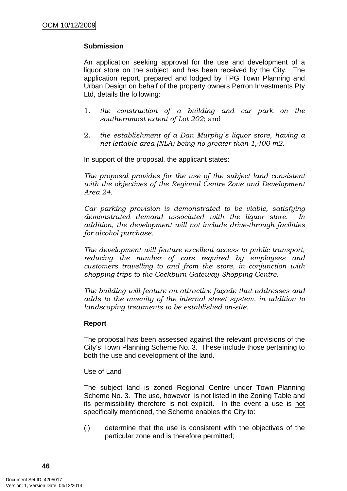## **Submission**

An application seeking approval for the use and development of a liquor store on the subject land has been received by the City. The application report, prepared and lodged by TPG Town Planning and Urban Design on behalf of the property owners Perron Investments Pty Ltd, details the following:

- 1. *the construction of a building and car park on the southernmost extent of Lot 202*; and
- 2. *the establishment of a Dan Murphy's liquor store, having a net lettable area (NLA) being no greater than 1,400 m2*.

In support of the proposal, the applicant states:

*The proposal provides for the use of the subject land consistent with the objectives of the Regional Centre Zone and Development Area 24.* 

*Car parking provision is demonstrated to be viable, satisfying demonstrated demand associated with the liquor store. In addition, the development will not include drive-through facilities for alcohol purchase.* 

*The development will feature excellent access to public transport, reducing the number of cars required by employees and customers travelling to and from the store, in conjunction with shopping trips to the Cockburn Gateway Shopping Centre.* 

*The building will feature an attractive façade that addresses and adds to the amenity of the internal street system, in addition to landscaping treatments to be established on-site.* 

#### **Report**

The proposal has been assessed against the relevant provisions of the City's Town Planning Scheme No. 3. These include those pertaining to both the use and development of the land.

#### Use of Land

The subject land is zoned Regional Centre under Town Planning Scheme No. 3. The use, however, is not listed in the Zoning Table and its permissibility therefore is not explicit. In the event a use is not specifically mentioned, the Scheme enables the City to:

(i) determine that the use is consistent with the objectives of the particular zone and is therefore permitted;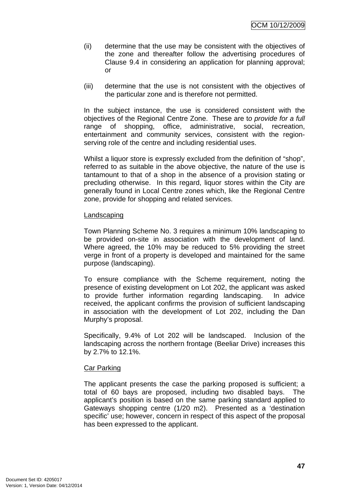- (ii) determine that the use may be consistent with the objectives of the zone and thereafter follow the advertising procedures of Clause 9.4 in considering an application for planning approval; or
- (iii) determine that the use is not consistent with the objectives of the particular zone and is therefore not permitted.

In the subject instance, the use is considered consistent with the objectives of the Regional Centre Zone. These are t*o provide for a full*  range of shopping, office, administrative, social, recreation, entertainment and community services, consistent with the regionserving role of the centre and including residential uses.

Whilst a liquor store is expressly excluded from the definition of "shop", referred to as suitable in the above objective, the nature of the use is tantamount to that of a shop in the absence of a provision stating or precluding otherwise. In this regard, liquor stores within the City are generally found in Local Centre zones which, like the Regional Centre zone, provide for shopping and related services.

#### **Landscaping**

Town Planning Scheme No. 3 requires a minimum 10% landscaping to be provided on-site in association with the development of land. Where agreed, the 10% may be reduced to 5% providing the street verge in front of a property is developed and maintained for the same purpose (landscaping).

To ensure compliance with the Scheme requirement, noting the presence of existing development on Lot 202, the applicant was asked to provide further information regarding landscaping. In advice received, the applicant confirms the provision of sufficient landscaping in association with the development of Lot 202, including the Dan Murphy's proposal.

Specifically, 9.4% of Lot 202 will be landscaped. Inclusion of the landscaping across the northern frontage (Beeliar Drive) increases this by 2.7% to 12.1%.

#### Car Parking

The applicant presents the case the parking proposed is sufficient; a total of 60 bays are proposed, including two disabled bays. The applicant's position is based on the same parking standard applied to Gateways shopping centre (1/20 m2). Presented as a 'destination specific' use; however, concern in respect of this aspect of the proposal has been expressed to the applicant.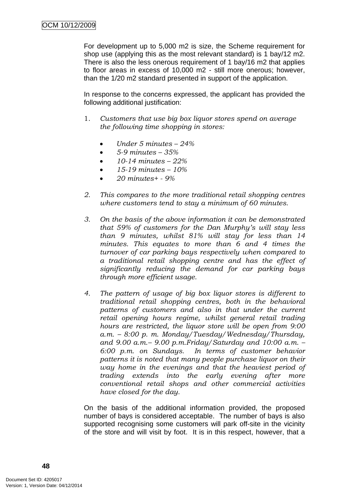For development up to 5,000 m2 is size, the Scheme requirement for shop use (applying this as the most relevant standard) is 1 bay/12 m2. There is also the less onerous requirement of 1 bay/16 m2 that applies to floor areas in excess of 10,000 m2 - still more onerous; however, than the 1/20 m2 standard presented in support of the application.

In response to the concerns expressed, the applicant has provided the following additional justification:

- 1*. Customers that use big box liquor stores spend on average the following time shopping in stores:* 
	- *Under 5 minutes 24%*
	- *5-9 minutes 35%*
	- *10-14 minutes 22%*
	- *15-19 minutes 10%*
	- *20 minutes+ 9%*
- *2. This compares to the more traditional retail shopping centres where customers tend to stay a minimum of 60 minutes.*
- *3. On the basis of the above information it can be demonstrated that 59% of customers for the Dan Murphy's will stay less than 9 minutes, whilst 81% will stay for less than 14 minutes. This equates to more than 6 and 4 times the turnover of car parking bays respectively when compared to a traditional retail shopping centre and has the effect of significantly reducing the demand for car parking bays through more efficient usage.*
- *4. The pattern of usage of big box liquor stores is different to traditional retail shopping centres, both in the behavioral patterns of customers and also in that under the current retail opening hours regime, whilst general retail trading hours are restricted, the liquor store will be open from 9:00 a.m. – 8:00 p. m. Monday/Tuesday/Wednesday/Thursday, and 9.00 a.m.– 9.00 p.m.Friday/Saturday and 10:00 a.m. – 6:00 p.m. on Sundays. In terms of customer behavior patterns it is noted that many people purchase liquor on their way home in the evenings and that the heaviest period of trading extends into the early evening after more conventional retail shops and other commercial activities have closed for the day.*

On the basis of the additional information provided, the proposed number of bays is considered acceptable. The number of bays is also supported recognising some customers will park off-site in the vicinity of the store and will visit by foot. It is in this respect, however, that a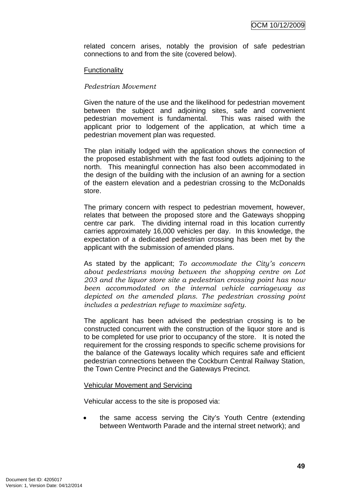related concern arises, notably the provision of safe pedestrian connections to and from the site (covered below).

#### Functionality

#### *Pedestrian Movement*

Given the nature of the use and the likelihood for pedestrian movement between the subject and adjoining sites, safe and convenient pedestrian movement is fundamental. This was raised with the applicant prior to lodgement of the application, at which time a pedestrian movement plan was requested.

The plan initially lodged with the application shows the connection of the proposed establishment with the fast food outlets adjoining to the north. This meaningful connection has also been accommodated in the design of the building with the inclusion of an awning for a section of the eastern elevation and a pedestrian crossing to the McDonalds store.

The primary concern with respect to pedestrian movement, however, relates that between the proposed store and the Gateways shopping centre car park. The dividing internal road in this location currently carries approximately 16,000 vehicles per day. In this knowledge, the expectation of a dedicated pedestrian crossing has been met by the applicant with the submission of amended plans.

As stated by the applicant; *To accommodate the City's concern about pedestrians moving between the shopping centre on Lot 203 and the liquor store site a pedestrian crossing point has now been accommodated on the internal vehicle carriageway as depicted on the amended plans. The pedestrian crossing point includes a pedestrian refuge to maximize safety*.

The applicant has been advised the pedestrian crossing is to be constructed concurrent with the construction of the liquor store and is to be completed for use prior to occupancy of the store. It is noted the requirement for the crossing responds to specific scheme provisions for the balance of the Gateways locality which requires safe and efficient pedestrian connections between the Cockburn Central Railway Station, the Town Centre Precinct and the Gateways Precinct.

#### Vehicular Movement and Servicing

Vehicular access to the site is proposed via:

• the same access serving the City's Youth Centre (extending between Wentworth Parade and the internal street network); and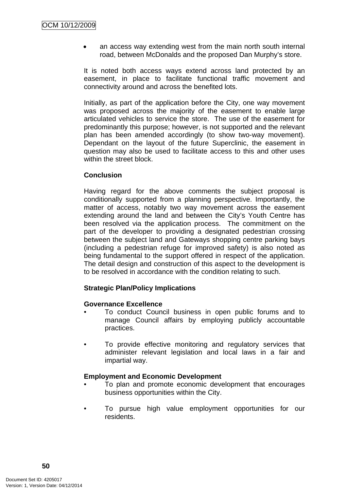an access way extending west from the main north south internal road, between McDonalds and the proposed Dan Murphy's store.

It is noted both access ways extend across land protected by an easement, in place to facilitate functional traffic movement and connectivity around and across the benefited lots.

Initially, as part of the application before the City, one way movement was proposed across the majority of the easement to enable large articulated vehicles to service the store. The use of the easement for predominantly this purpose; however, is not supported and the relevant plan has been amended accordingly (to show two-way movement). Dependant on the layout of the future Superclinic, the easement in question may also be used to facilitate access to this and other uses within the street block.

## **Conclusion**

Having regard for the above comments the subject proposal is conditionally supported from a planning perspective. Importantly, the matter of access, notably two way movement across the easement extending around the land and between the City's Youth Centre has been resolved via the application process. The commitment on the part of the developer to providing a designated pedestrian crossing between the subject land and Gateways shopping centre parking bays (including a pedestrian refuge for improved safety) is also noted as being fundamental to the support offered in respect of the application. The detail design and construction of this aspect to the development is to be resolved in accordance with the condition relating to such.

#### **Strategic Plan/Policy Implications**

#### **Governance Excellence**

- To conduct Council business in open public forums and to manage Council affairs by employing publicly accountable practices.
- To provide effective monitoring and regulatory services that administer relevant legislation and local laws in a fair and impartial way.

#### **Employment and Economic Development**

- To plan and promote economic development that encourages business opportunities within the City.
- To pursue high value employment opportunities for our residents.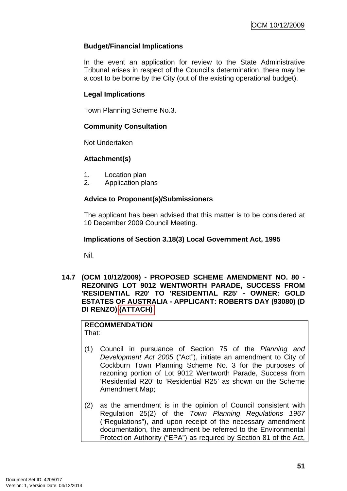## **Budget/Financial Implications**

In the event an application for review to the State Administrative Tribunal arises in respect of the Council's determination, there may be a cost to be borne by the City (out of the existing operational budget).

#### **Legal Implications**

Town Planning Scheme No.3.

#### **Community Consultation**

Not Undertaken

#### **Attachment(s)**

- 1. Location plan
- 2. Application plans

## **Advice to Proponent(s)/Submissioners**

The applicant has been advised that this matter is to be considered at 10 December 2009 Council Meeting.

#### **Implications of Section 3.18(3) Local Government Act, 1995**

Nil.

**14.7 (OCM 10/12/2009) - PROPOSED SCHEME AMENDMENT NO. 80 - REZONING LOT 9012 WENTWORTH PARADE, SUCCESS FROM 'RESIDENTIAL R20' TO 'RESIDENTIAL R25' - OWNER: GOLD ESTATES OF AUSTRALIA - APPLICANT: ROBERTS DAY (93080) (D DI RENZO) (ATTACH)** 

# **RECOMMENDATION**

That:

- (1) Council in pursuance of Section 75 of the *Planning and Development Act 2005* ("Act"), initiate an amendment to City of Cockburn Town Planning Scheme No. 3 for the purposes of rezoning portion of Lot 9012 Wentworth Parade, Success from 'Residential R20' to 'Residential R25' as shown on the Scheme Amendment Map;
- (2) as the amendment is in the opinion of Council consistent with Regulation 25(2) of the *Town Planning Regulations 1967* ("Regulations"), and upon receipt of the necessary amendment documentation, the amendment be referred to the Environmental Protection Authority ("EPA") as required by Section 81 of the Act,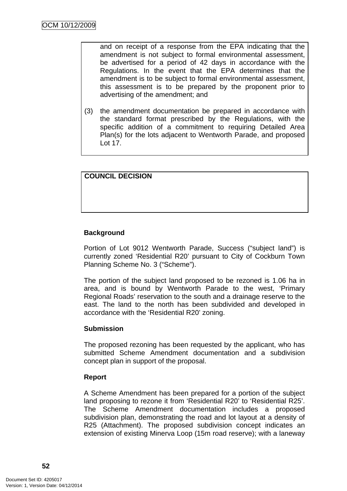and on receipt of a response from the EPA indicating that the amendment is not subject to formal environmental assessment, be advertised for a period of 42 days in accordance with the Regulations. In the event that the EPA determines that the amendment is to be subject to formal environmental assessment, this assessment is to be prepared by the proponent prior to advertising of the amendment; and

(3) the amendment documentation be prepared in accordance with the standard format prescribed by the Regulations, with the specific addition of a commitment to requiring Detailed Area Plan(s) for the lots adjacent to Wentworth Parade, and proposed Lot 17.

## **COUNCIL DECISION**

## **Background**

Portion of Lot 9012 Wentworth Parade, Success ("subject land") is currently zoned 'Residential R20' pursuant to City of Cockburn Town Planning Scheme No. 3 ("Scheme").

The portion of the subject land proposed to be rezoned is 1.06 ha in area, and is bound by Wentworth Parade to the west, 'Primary Regional Roads' reservation to the south and a drainage reserve to the east. The land to the north has been subdivided and developed in accordance with the 'Residential R20' zoning.

#### **Submission**

The proposed rezoning has been requested by the applicant, who has submitted Scheme Amendment documentation and a subdivision concept plan in support of the proposal.

#### **Report**

A Scheme Amendment has been prepared for a portion of the subject land proposing to rezone it from 'Residential R20' to 'Residential R25'. The Scheme Amendment documentation includes a proposed subdivision plan, demonstrating the road and lot layout at a density of R25 (Attachment). The proposed subdivision concept indicates an extension of existing Minerva Loop (15m road reserve); with a laneway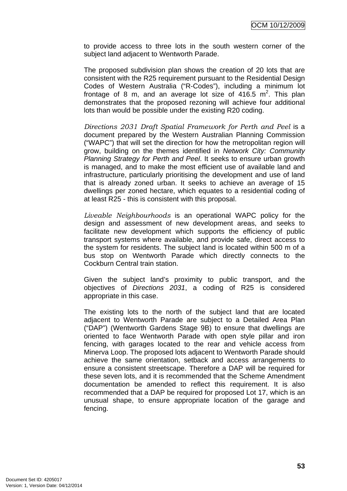to provide access to three lots in the south western corner of the subject land adjacent to Wentworth Parade.

The proposed subdivision plan shows the creation of 20 lots that are consistent with the R25 requirement pursuant to the Residential Design Codes of Western Australia ("R-Codes"), including a minimum lot frontage of 8 m, and an average lot size of 416.5  $m^2$ . This plan demonstrates that the proposed rezoning will achieve four additional lots than would be possible under the existing R20 coding.

*Directions 2031 Draft Spatial Framework for Perth and Peel* is a document prepared by the Western Australian Planning Commission ("WAPC") that will set the direction for how the metropolitan region will grow, building on the themes identified in *Network City: Community Planning Strategy for Perth and Peel*. It seeks to ensure urban growth is managed, and to make the most efficient use of available land and infrastructure, particularly prioritising the development and use of land that is already zoned urban. It seeks to achieve an average of 15 dwellings per zoned hectare, which equates to a residential coding of at least R25 - this is consistent with this proposal.

*Liveable Neighbourhoods* is an operational WAPC policy for the design and assessment of new development areas, and seeks to facilitate new development which supports the efficiency of public transport systems where available, and provide safe, direct access to the system for residents. The subject land is located within 500 m of a bus stop on Wentworth Parade which directly connects to the Cockburn Central train station.

Given the subject land's proximity to public transport, and the objectives of *Directions 2031*, a coding of R25 is considered appropriate in this case.

The existing lots to the north of the subject land that are located adjacent to Wentworth Parade are subject to a Detailed Area Plan ("DAP") (Wentworth Gardens Stage 9B) to ensure that dwellings are oriented to face Wentworth Parade with open style pillar and iron fencing, with garages located to the rear and vehicle access from Minerva Loop. The proposed lots adjacent to Wentworth Parade should achieve the same orientation, setback and access arrangements to ensure a consistent streetscape. Therefore a DAP will be required for these seven lots, and it is recommended that the Scheme Amendment documentation be amended to reflect this requirement. It is also recommended that a DAP be required for proposed Lot 17, which is an unusual shape, to ensure appropriate location of the garage and fencing.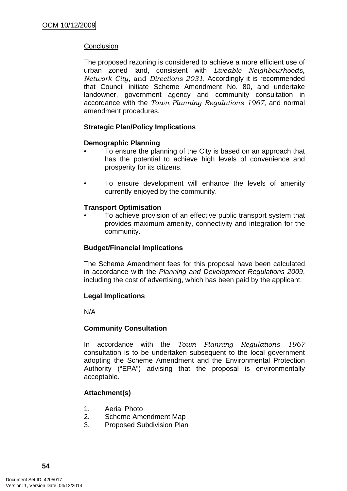## **Conclusion**

The proposed rezoning is considered to achieve a more efficient use of urban zoned land, consistent with *Liveable Neighbourhoods*, *Network City*, and *Directions 2031*. Accordingly it is recommended that Council initiate Scheme Amendment No. 80, and undertake landowner, government agency and community consultation in accordance with the *Town Planning Regulations 1967*, and normal amendment procedures.

## **Strategic Plan/Policy Implications**

#### **Demographic Planning**

- To ensure the planning of the City is based on an approach that has the potential to achieve high levels of convenience and prosperity for its citizens.
- To ensure development will enhance the levels of amenity currently enjoyed by the community.

#### **Transport Optimisation**

• To achieve provision of an effective public transport system that provides maximum amenity, connectivity and integration for the community.

#### **Budget/Financial Implications**

The Scheme Amendment fees for this proposal have been calculated in accordance with the *Planning and Development Regulations 2009*, including the cost of advertising, which has been paid by the applicant.

#### **Legal Implications**

N/A

#### **Community Consultation**

In accordance with the *Town Planning Regulations 1967* consultation is to be undertaken subsequent to the local government adopting the Scheme Amendment and the Environmental Protection Authority ("EPA") advising that the proposal is environmentally acceptable.

#### **Attachment(s)**

- 1. Aerial Photo
- 2. Scheme Amendment Map
- 3. Proposed Subdivision Plan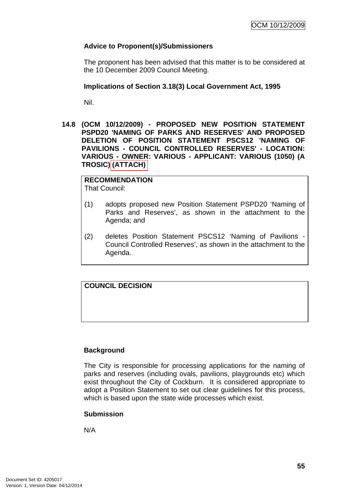## **Advice to Proponent(s)/Submissioners**

The proponent has been advised that this matter is to be considered at the 10 December 2009 Council Meeting.

#### **Implications of Section 3.18(3) Local Government Act, 1995**

Nil.

**14.8 (OCM 10/12/2009) - PROPOSED NEW POSITION STATEMENT PSPD20 'NAMING OF PARKS AND RESERVES' AND PROPOSED DELETION OF POSITION STATEMENT PSCS12 'NAMING OF PAVILIONS - COUNCIL CONTROLLED RESERVES' - LOCATION: VARIOUS - OWNER: VARIOUS - APPLICANT: VARIOUS (1050) (A TROSIC) (ATTACH)** 

**RECOMMENDATION** That Council:

- (1) adopts proposed new Position Statement PSPD20 'Naming of Parks and Reserves', as shown in the attachment to the Agenda; and
- (2) deletes Position Statement PSCS12 'Naming of Pavilions Council Controlled Reserves', as shown in the attachment to the Agenda.

**COUNCIL DECISION** 

## **Background**

The City is responsible for processing applications for the naming of parks and reserves (including ovals, pavilions, playgrounds etc) which exist throughout the City of Cockburn. It is considered appropriate to adopt a Position Statement to set out clear guidelines for this process, which is based upon the state wide processes which exist.

## **Submission**

N/A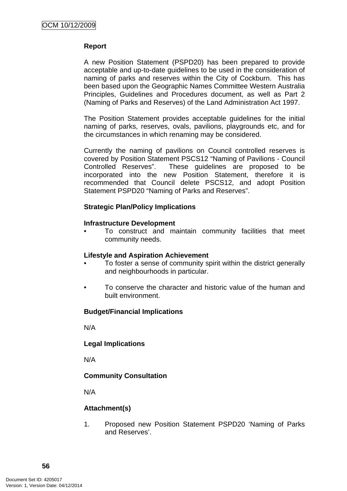## **Report**

A new Position Statement (PSPD20) has been prepared to provide acceptable and up-to-date guidelines to be used in the consideration of naming of parks and reserves within the City of Cockburn. This has been based upon the Geographic Names Committee Western Australia Principles, Guidelines and Procedures document, as well as Part 2 (Naming of Parks and Reserves) of the Land Administration Act 1997.

The Position Statement provides acceptable guidelines for the initial naming of parks, reserves, ovals, pavilions, playgrounds etc, and for the circumstances in which renaming may be considered.

Currently the naming of pavilions on Council controlled reserves is covered by Position Statement PSCS12 "Naming of Pavilions - Council Controlled Reserves". These guidelines are proposed to be incorporated into the new Position Statement, therefore it is recommended that Council delete PSCS12, and adopt Position Statement PSPD20 "Naming of Parks and Reserves".

## **Strategic Plan/Policy Implications**

#### **Infrastructure Development**

• To construct and maintain community facilities that meet community needs.

#### **Lifestyle and Aspiration Achievement**

- To foster a sense of community spirit within the district generally and neighbourhoods in particular.
- To conserve the character and historic value of the human and built environment.

#### **Budget/Financial Implications**

N/A

#### **Legal Implications**

N/A

#### **Community Consultation**

N/A

#### **Attachment(s)**

1. Proposed new Position Statement PSPD20 'Naming of Parks and Reserves'.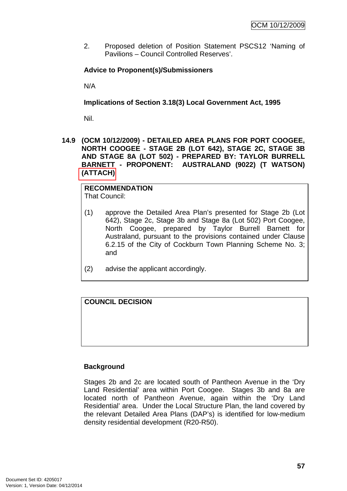2. Proposed deletion of Position Statement PSCS12 'Naming of Pavilions – Council Controlled Reserves'.

## **Advice to Proponent(s)/Submissioners**

N/A

**Implications of Section 3.18(3) Local Government Act, 1995**

Nil.

**14.9 (OCM 10/12/2009) - DETAILED AREA PLANS FOR PORT COOGEE, NORTH COOGEE - STAGE 2B (LOT 642), STAGE 2C, STAGE 3B AND STAGE 8A (LOT 502) - PREPARED BY: TAYLOR BURRELL BARNETT - PROPONENT: AUSTRALAND (9022) (T WATSON) (ATTACH)** 

**RECOMMENDATION** That Council:

- (1) approve the Detailed Area Plan's presented for Stage 2b (Lot 642), Stage 2c, Stage 3b and Stage 8a (Lot 502) Port Coogee, North Coogee, prepared by Taylor Burrell Barnett for Australand, pursuant to the provisions contained under Clause 6.2.15 of the City of Cockburn Town Planning Scheme No. 3; and
- (2) advise the applicant accordingly.

**COUNCIL DECISION** 

#### **Background**

Stages 2b and 2c are located south of Pantheon Avenue in the 'Dry Land Residential' area within Port Coogee. Stages 3b and 8a are located north of Pantheon Avenue, again within the 'Dry Land Residential' area. Under the Local Structure Plan, the land covered by the relevant Detailed Area Plans (DAP's) is identified for low-medium density residential development (R20-R50).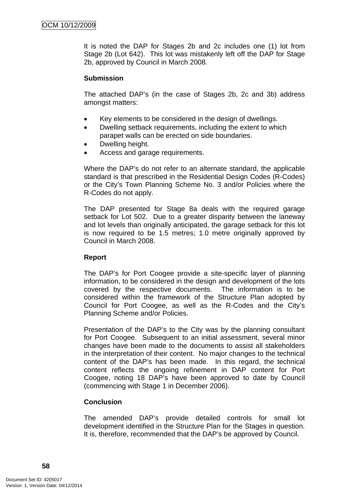It is noted the DAP for Stages 2b and 2c includes one (1) lot from Stage 2b (Lot 642). This lot was mistakenly left off the DAP for Stage 2b, approved by Council in March 2008.

#### **Submission**

The attached DAP's (in the case of Stages 2b, 2c and 3b) address amongst matters:

- Key elements to be considered in the design of dwellings.
- Dwelling setback requirements, including the extent to which parapet walls can be erected on side boundaries.
- Dwelling height.
- Access and garage requirements.

Where the DAP's do not refer to an alternate standard, the applicable standard is that prescribed in the Residential Design Codes (R-Codes) or the City's Town Planning Scheme No. 3 and/or Policies where the R-Codes do not apply.

The DAP presented for Stage 8a deals with the required garage setback for Lot 502. Due to a greater disparity between the laneway and lot levels than originally anticipated, the garage setback for this lot is now required to be 1.5 metres; 1.0 metre originally approved by Council in March 2008.

## **Report**

The DAP's for Port Coogee provide a site-specific layer of planning information, to be considered in the design and development of the lots covered by the respective documents. The information is to be considered within the framework of the Structure Plan adopted by Council for Port Coogee, as well as the R-Codes and the City's Planning Scheme and/or Policies.

Presentation of the DAP's to the City was by the planning consultant for Port Coogee. Subsequent to an initial assessment, several minor changes have been made to the documents to assist all stakeholders in the interpretation of their content. No major changes to the technical content of the DAP's has been made. In this regard, the technical content reflects the ongoing refinement in DAP content for Port Coogee, noting 18 DAP's have been approved to date by Council (commencing with Stage 1 in December 2006).

## **Conclusion**

The amended DAP's provide detailed controls for small lot development identified in the Structure Plan for the Stages in question. It is, therefore, recommended that the DAP's be approved by Council.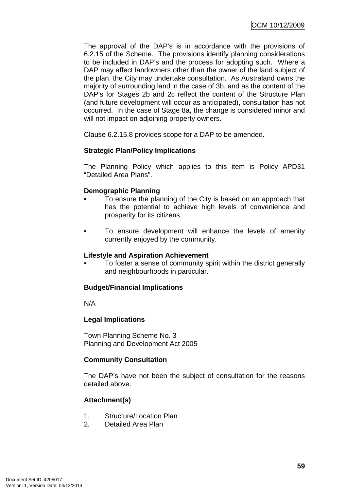The approval of the DAP's is in accordance with the provisions of 6.2.15 of the Scheme. The provisions identify planning considerations to be included in DAP's and the process for adopting such. Where a DAP may affect landowners other than the owner of the land subject of the plan, the City may undertake consultation. As Australand owns the majority of surrounding land in the case of 3b, and as the content of the DAP's for Stages 2b and 2c reflect the content of the Structure Plan (and future development will occur as anticipated), consultation has not occurred. In the case of Stage 8a, the change is considered minor and will not impact on adjoining property owners.

Clause 6.2.15.8 provides scope for a DAP to be amended.

# **Strategic Plan/Policy Implications**

The Planning Policy which applies to this item is Policy APD31 "Detailed Area Plans".

## **Demographic Planning**

- To ensure the planning of the City is based on an approach that has the potential to achieve high levels of convenience and prosperity for its citizens.
- To ensure development will enhance the levels of amenity currently enjoyed by the community.

#### **Lifestyle and Aspiration Achievement**

• To foster a sense of community spirit within the district generally and neighbourhoods in particular.

#### **Budget/Financial Implications**

N/A

## **Legal Implications**

Town Planning Scheme No. 3 Planning and Development Act 2005

## **Community Consultation**

The DAP's have not been the subject of consultation for the reasons detailed above.

## **Attachment(s)**

- 1. Structure/Location Plan
- 2. Detailed Area Plan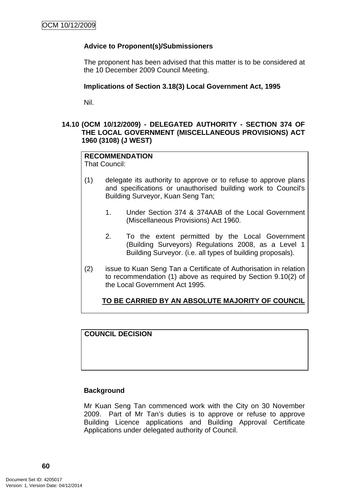## **Advice to Proponent(s)/Submissioners**

The proponent has been advised that this matter is to be considered at the 10 December 2009 Council Meeting.

#### **Implications of Section 3.18(3) Local Government Act, 1995**

Nil.

#### **14.10 (OCM 10/12/2009) - DELEGATED AUTHORITY - SECTION 374 OF THE LOCAL GOVERNMENT (MISCELLANEOUS PROVISIONS) ACT 1960 (3108) (J WEST)**

# **RECOMMENDATION**

That Council:

- (1) delegate its authority to approve or to refuse to approve plans and specifications or unauthorised building work to Council's Building Surveyor, Kuan Seng Tan;
	- 1. Under Section 374 & 374AAB of the Local Government (Miscellaneous Provisions) Act 1960.
	- 2. To the extent permitted by the Local Government (Building Surveyors) Regulations 2008, as a Level 1 Building Surveyor. (i.e. all types of building proposals).
- (2) issue to Kuan Seng Tan a Certificate of Authorisation in relation to recommendation (1) above as required by Section 9.10(2) of the Local Government Act 1995.

## **TO BE CARRIED BY AN ABSOLUTE MAJORITY OF COUNCIL**

**COUNCIL DECISION** 

#### **Background**

Mr Kuan Seng Tan commenced work with the City on 30 November 2009. Part of Mr Tan's duties is to approve or refuse to approve Building Licence applications and Building Approval Certificate Applications under delegated authority of Council.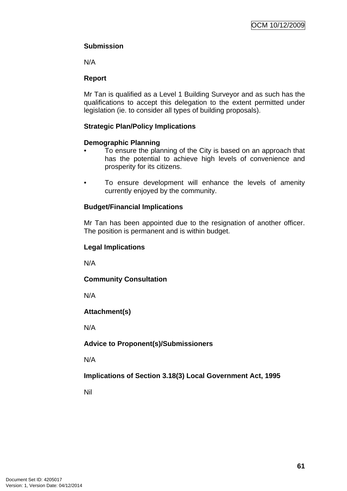# **Submission**

N/A

## **Report**

Mr Tan is qualified as a Level 1 Building Surveyor and as such has the qualifications to accept this delegation to the extent permitted under legislation (ie. to consider all types of building proposals).

# **Strategic Plan/Policy Implications**

## **Demographic Planning**

- To ensure the planning of the City is based on an approach that has the potential to achieve high levels of convenience and prosperity for its citizens.
- To ensure development will enhance the levels of amenity currently enjoyed by the community.

# **Budget/Financial Implications**

Mr Tan has been appointed due to the resignation of another officer. The position is permanent and is within budget.

## **Legal Implications**

N/A

## **Community Consultation**

N/A

# **Attachment(s)**

N/A

## **Advice to Proponent(s)/Submissioners**

N/A

**Implications of Section 3.18(3) Local Government Act, 1995**

Nil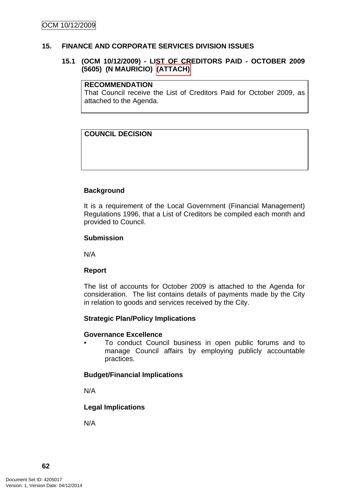#### **15. FINANCE AND CORPORATE SERVICES DIVISION ISSUES**

## **15.1 (OCM 10/12/2009) - LIST OF CREDITORS PAID - OCTOBER 2009 (5605) (N MAURICIO) (ATTACH)**

#### **RECOMMENDATION**

That Council receive the List of Creditors Paid for October 2009, as attached to the Agenda.

## **COUNCIL DECISION**

## **Background**

It is a requirement of the Local Government (Financial Management) Regulations 1996, that a List of Creditors be compiled each month and provided to Council.

#### **Submission**

N/A

#### **Report**

The list of accounts for October 2009 is attached to the Agenda for consideration. The list contains details of payments made by the City in relation to goods and services received by the City.

#### **Strategic Plan/Policy Implications**

#### **Governance Excellence**

• To conduct Council business in open public forums and to manage Council affairs by employing publicly accountable practices.

#### **Budget/Financial Implications**

N/A

#### **Legal Implications**

N/A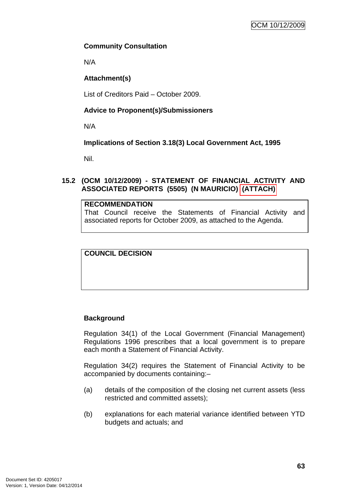## **Community Consultation**

N/A

# **Attachment(s)**

List of Creditors Paid – October 2009.

# **Advice to Proponent(s)/Submissioners**

N/A

# **Implications of Section 3.18(3) Local Government Act, 1995**

Nil.

# **15.2 (OCM 10/12/2009) - STATEMENT OF FINANCIAL ACTIVITY AND ASSOCIATED REPORTS (5505) (N MAURICIO) (ATTACH)**

# **RECOMMENDATION**

That Council receive the Statements of Financial Activity and associated reports for October 2009, as attached to the Agenda.

**COUNCIL DECISION** 

# **Background**

Regulation 34(1) of the Local Government (Financial Management) Regulations 1996 prescribes that a local government is to prepare each month a Statement of Financial Activity.

Regulation 34(2) requires the Statement of Financial Activity to be accompanied by documents containing:–

- (a) details of the composition of the closing net current assets (less restricted and committed assets);
- (b) explanations for each material variance identified between YTD budgets and actuals; and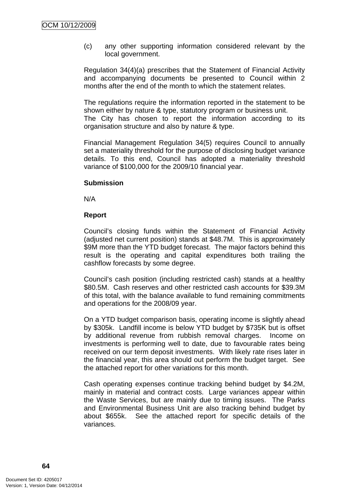(c) any other supporting information considered relevant by the local government.

Regulation 34(4)(a) prescribes that the Statement of Financial Activity and accompanying documents be presented to Council within 2 months after the end of the month to which the statement relates.

The regulations require the information reported in the statement to be shown either by nature & type, statutory program or business unit.

The City has chosen to report the information according to its organisation structure and also by nature & type.

Financial Management Regulation 34(5) requires Council to annually set a materiality threshold for the purpose of disclosing budget variance details. To this end, Council has adopted a materiality threshold variance of \$100,000 for the 2009/10 financial year.

#### **Submission**

N/A

#### **Report**

Council's closing funds within the Statement of Financial Activity (adjusted net current position) stands at \$48.7M. This is approximately \$9M more than the YTD budget forecast. The major factors behind this result is the operating and capital expenditures both trailing the cashflow forecasts by some degree.

Council's cash position (including restricted cash) stands at a healthy \$80.5M. Cash reserves and other restricted cash accounts for \$39.3M of this total, with the balance available to fund remaining commitments and operations for the 2008/09 year.

On a YTD budget comparison basis, operating income is slightly ahead by \$305k. Landfill income is below YTD budget by \$735K but is offset by additional revenue from rubbish removal charges. Income on investments is performing well to date, due to favourable rates being received on our term deposit investments. With likely rate rises later in the financial year, this area should out perform the budget target. See the attached report for other variations for this month.

Cash operating expenses continue tracking behind budget by \$4.2M, mainly in material and contract costs. Large variances appear within the Waste Services, but are mainly due to timing issues. The Parks and Environmental Business Unit are also tracking behind budget by about \$655k. See the attached report for specific details of the variances.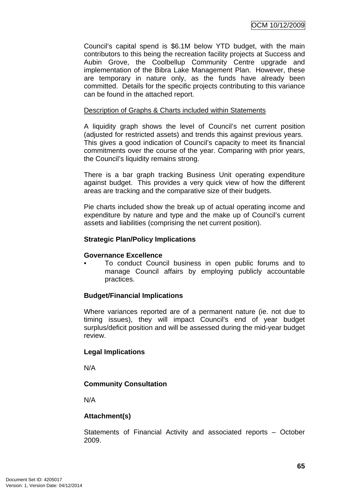Council's capital spend is \$6.1M below YTD budget, with the main contributors to this being the recreation facility projects at Success and Aubin Grove, the Coolbellup Community Centre upgrade and implementation of the Bibra Lake Management Plan. However, these are temporary in nature only, as the funds have already been committed. Details for the specific projects contributing to this variance can be found in the attached report.

#### Description of Graphs & Charts included within Statements

A liquidity graph shows the level of Council's net current position (adjusted for restricted assets) and trends this against previous years. This gives a good indication of Council's capacity to meet its financial commitments over the course of the year. Comparing with prior years, the Council's liquidity remains strong.

There is a bar graph tracking Business Unit operating expenditure against budget. This provides a very quick view of how the different areas are tracking and the comparative size of their budgets.

Pie charts included show the break up of actual operating income and expenditure by nature and type and the make up of Council's current assets and liabilities (comprising the net current position).

#### **Strategic Plan/Policy Implications**

#### **Governance Excellence**

• To conduct Council business in open public forums and to manage Council affairs by employing publicly accountable practices.

#### **Budget/Financial Implications**

Where variances reported are of a permanent nature (ie. not due to timing issues), they will impact Council's end of year budget surplus/deficit position and will be assessed during the mid-year budget review.

#### **Legal Implications**

N/A

#### **Community Consultation**

N/A

#### **Attachment(s)**

Statements of Financial Activity and associated reports – October 2009.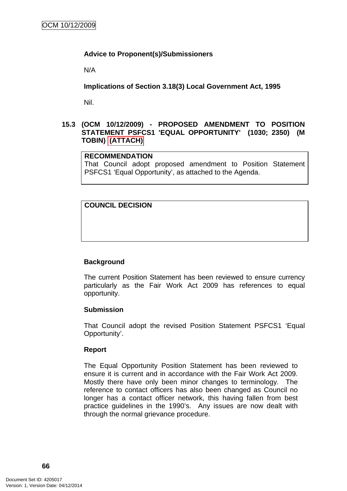## **Advice to Proponent(s)/Submissioners**

N/A

**Implications of Section 3.18(3) Local Government Act, 1995**

Nil.

## **15.3 (OCM 10/12/2009) - PROPOSED AMENDMENT TO POSITION STATEMENT PSFCS1 'EQUAL OPPORTUNITY' (1030; 2350) (M TOBIN) (ATTACH)**

#### **RECOMMENDATION**

That Council adopt proposed amendment to Position Statement PSFCS1 'Equal Opportunity', as attached to the Agenda.

**COUNCIL DECISION** 

## **Background**

The current Position Statement has been reviewed to ensure currency particularly as the Fair Work Act 2009 has references to equal opportunity.

#### **Submission**

That Council adopt the revised Position Statement PSFCS1 'Equal Opportunity'.

#### **Report**

The Equal Opportunity Position Statement has been reviewed to ensure it is current and in accordance with the Fair Work Act 2009. Mostly there have only been minor changes to terminology. The reference to contact officers has also been changed as Council no longer has a contact officer network, this having fallen from best practice guidelines in the 1990's. Any issues are now dealt with through the normal grievance procedure.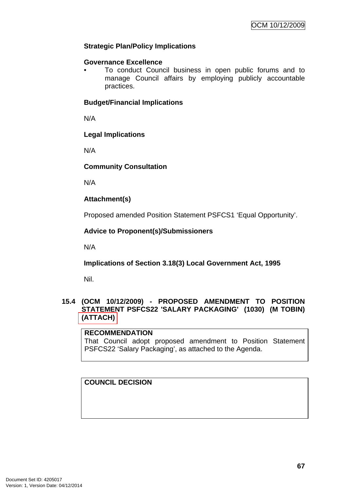# **Strategic Plan/Policy Implications**

### **Governance Excellence**

• To conduct Council business in open public forums and to manage Council affairs by employing publicly accountable practices.

### **Budget/Financial Implications**

N/A

# **Legal Implications**

N/A

# **Community Consultation**

N/A

# **Attachment(s)**

Proposed amended Position Statement PSFCS1 'Equal Opportunity'.

# **Advice to Proponent(s)/Submissioners**

N/A

# **Implications of Section 3.18(3) Local Government Act, 1995**

Nil.

## **15.4 (OCM 10/12/2009) - PROPOSED AMENDMENT TO POSITION STATEMENT PSFCS22 'SALARY PACKAGING' (1030) (M TOBIN) (ATTACH)**

### **RECOMMENDATION**

That Council adopt proposed amendment to Position Statement PSFCS22 'Salary Packaging', as attached to the Agenda.

# **COUNCIL DECISION**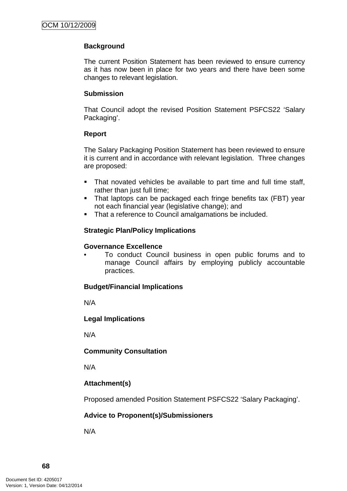# **Background**

The current Position Statement has been reviewed to ensure currency as it has now been in place for two years and there have been some changes to relevant legislation.

### **Submission**

That Council adopt the revised Position Statement PSFCS22 'Salary Packaging'.

### **Report**

The Salary Packaging Position Statement has been reviewed to ensure it is current and in accordance with relevant legislation. Three changes are proposed:

- That novated vehicles be available to part time and full time staff, rather than just full time;
- That laptops can be packaged each fringe benefits tax (FBT) year not each financial year (legislative change); and
- That a reference to Council amalgamations be included.

# **Strategic Plan/Policy Implications**

### **Governance Excellence**

• To conduct Council business in open public forums and to manage Council affairs by employing publicly accountable practices.

### **Budget/Financial Implications**

N/A

### **Legal Implications**

N/A

### **Community Consultation**

N/A

# **Attachment(s)**

Proposed amended Position Statement PSFCS22 'Salary Packaging'.

# **Advice to Proponent(s)/Submissioners**

N/A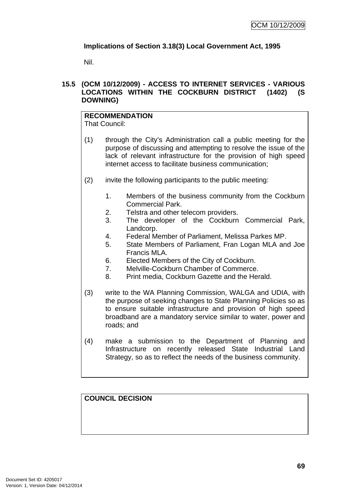# **Implications of Section 3.18(3) Local Government Act, 1995**

Nil.

## **15.5 (OCM 10/12/2009) - ACCESS TO INTERNET SERVICES - VARIOUS LOCATIONS WITHIN THE COCKBURN DISTRICT (1402) (S DOWNING)**

# **RECOMMENDATION**

That Council:

- (1) through the City's Administration call a public meeting for the purpose of discussing and attempting to resolve the issue of the lack of relevant infrastructure for the provision of high speed internet access to facilitate business communication;
- (2) invite the following participants to the public meeting:
	- 1. Members of the business community from the Cockburn Commercial Park.
	- 2. Telstra and other telecom providers.
	- 3. The developer of the Cockburn Commercial Park, Landcorp.
	- 4. Federal Member of Parliament, Melissa Parkes MP.
	- 5. State Members of Parliament, Fran Logan MLA and Joe Francis MLA.
	- 6. Elected Members of the City of Cockburn.
	- 7. Melville-Cockburn Chamber of Commerce.
	- 8. Print media, Cockburn Gazette and the Herald.
- (3) write to the WA Planning Commission, WALGA and UDIA, with the purpose of seeking changes to State Planning Policies so as to ensure suitable infrastructure and provision of high speed broadband are a mandatory service similar to water, power and roads; and
- (4) make a submission to the Department of Planning and Infrastructure on recently released State Industrial Land Strategy, so as to reflect the needs of the business community.

**COUNCIL DECISION**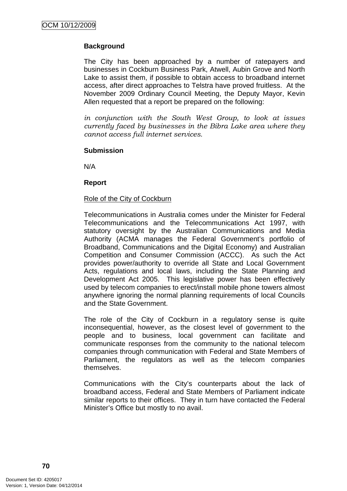# **Background**

The City has been approached by a number of ratepayers and businesses in Cockburn Business Park, Atwell, Aubin Grove and North Lake to assist them, if possible to obtain access to broadband internet access, after direct approaches to Telstra have proved fruitless. At the November 2009 Ordinary Council Meeting, the Deputy Mayor, Kevin Allen requested that a report be prepared on the following:

*in conjunction with the South West Group, to look at issues currently faced by businesses in the Bibra Lake area where they cannot access full internet services.* 

### **Submission**

N/A

### **Report**

### Role of the City of Cockburn

Telecommunications in Australia comes under the Minister for Federal Telecommunications and the Telecommunications Act 1997, with statutory oversight by the Australian Communications and Media Authority (ACMA manages the Federal Government's portfolio of Broadband, Communications and the Digital Economy) and Australian Competition and Consumer Commission (ACCC). As such the Act provides power/authority to override all State and Local Government Acts, regulations and local laws, including the State Planning and Development Act 2005. This legislative power has been effectively used by telecom companies to erect/install mobile phone towers almost anywhere ignoring the normal planning requirements of local Councils and the State Government.

The role of the City of Cockburn in a regulatory sense is quite inconsequential, however, as the closest level of government to the people and to business, local government can facilitate and communicate responses from the community to the national telecom companies through communication with Federal and State Members of Parliament, the regulators as well as the telecom companies themselves.

Communications with the City's counterparts about the lack of broadband access, Federal and State Members of Parliament indicate similar reports to their offices. They in turn have contacted the Federal Minister's Office but mostly to no avail.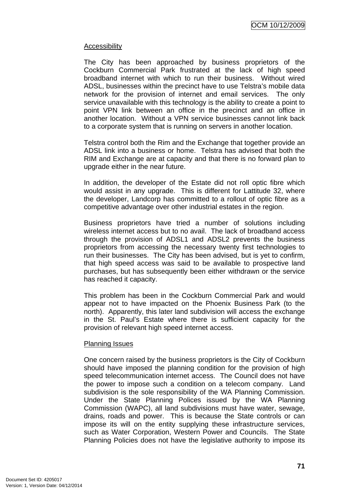#### **Accessibility**

The City has been approached by business proprietors of the Cockburn Commercial Park frustrated at the lack of high speed broadband internet with which to run their business. Without wired ADSL, businesses within the precinct have to use Telstra's mobile data network for the provision of internet and email services. The only service unavailable with this technology is the ability to create a point to point VPN link between an office in the precinct and an office in another location. Without a VPN service businesses cannot link back to a corporate system that is running on servers in another location.

Telstra control both the Rim and the Exchange that together provide an ADSL link into a business or home. Telstra has advised that both the RIM and Exchange are at capacity and that there is no forward plan to upgrade either in the near future.

In addition, the developer of the Estate did not roll optic fibre which would assist in any upgrade. This is different for Lattitude 32, where the developer, Landcorp has committed to a rollout of optic fibre as a competitive advantage over other industrial estates in the region.

Business proprietors have tried a number of solutions including wireless internet access but to no avail. The lack of broadband access through the provision of ADSL1 and ADSL2 prevents the business proprietors from accessing the necessary twenty first technologies to run their businesses. The City has been advised, but is yet to confirm, that high speed access was said to be available to prospective land purchases, but has subsequently been either withdrawn or the service has reached it capacity.

This problem has been in the Cockburn Commercial Park and would appear not to have impacted on the Phoenix Business Park (to the north). Apparently, this later land subdivision will access the exchange in the St. Paul's Estate where there is sufficient capacity for the provision of relevant high speed internet access.

### Planning Issues

One concern raised by the business proprietors is the City of Cockburn should have imposed the planning condition for the provision of high speed telecommunication internet access. The Council does not have the power to impose such a condition on a telecom company. Land subdivision is the sole responsibility of the WA Planning Commission. Under the State Planning Polices issued by the WA Planning Commission (WAPC), all land subdivisions must have water, sewage, drains, roads and power. This is because the State controls or can impose its will on the entity supplying these infrastructure services, such as Water Corporation, Western Power and Councils. The State Planning Policies does not have the legislative authority to impose its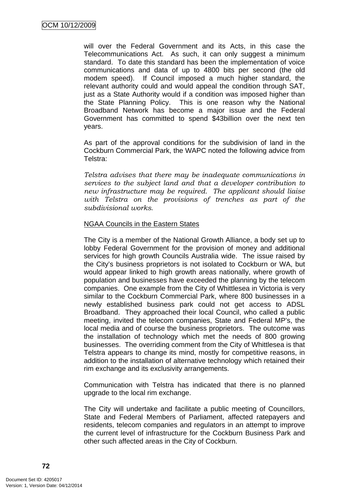will over the Federal Government and its Acts, in this case the Telecommunications Act. As such, it can only suggest a minimum standard. To date this standard has been the implementation of voice communications and data of up to 4800 bits per second (the old modem speed). If Council imposed a much higher standard, the relevant authority could and would appeal the condition through SAT, just as a State Authority would if a condition was imposed higher than the State Planning Policy. This is one reason why the National Broadband Network has become a major issue and the Federal Government has committed to spend \$43billion over the next ten years.

As part of the approval conditions for the subdivision of land in the Cockburn Commercial Park, the WAPC noted the following advice from Telstra:

*Telstra advises that there may be inadequate communications in services to the subject land and that a developer contribution to new infrastructure may be required. The applicant should liaise with Telstra on the provisions of trenches as part of the subdivisional works*.

#### NGAA Councils in the Eastern States

The City is a member of the National Growth Alliance, a body set up to lobby Federal Government for the provision of money and additional services for high growth Councils Australia wide. The issue raised by the City's business proprietors is not isolated to Cockburn or WA, but would appear linked to high growth areas nationally, where growth of population and businesses have exceeded the planning by the telecom companies. One example from the City of Whittlesea in Victoria is very similar to the Cockburn Commercial Park, where 800 businesses in a newly established business park could not get access to ADSL Broadband. They approached their local Council, who called a public meeting, invited the telecom companies, State and Federal MP's, the local media and of course the business proprietors. The outcome was the installation of technology which met the needs of 800 growing businesses. The overriding comment from the City of Whittlesea is that Telstra appears to change its mind, mostly for competitive reasons, in addition to the installation of alternative technology which retained their rim exchange and its exclusivity arrangements.

Communication with Telstra has indicated that there is no planned upgrade to the local rim exchange.

The City will undertake and facilitate a public meeting of Councillors, State and Federal Members of Parliament, affected ratepayers and residents, telecom companies and regulators in an attempt to improve the current level of infrastructure for the Cockburn Business Park and other such affected areas in the City of Cockburn.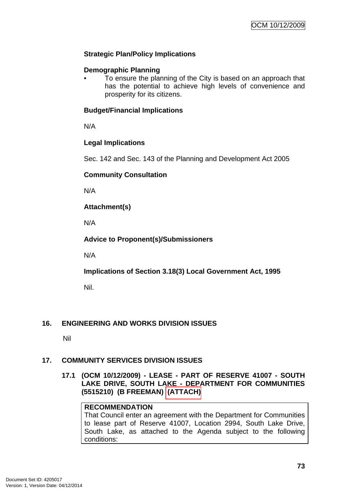# **Strategic Plan/Policy Implications**

# **Demographic Planning**

To ensure the planning of the City is based on an approach that has the potential to achieve high levels of convenience and prosperity for its citizens.

# **Budget/Financial Implications**

N/A

# **Legal Implications**

Sec. 142 and Sec. 143 of the Planning and Development Act 2005

### **Community Consultation**

N/A

**Attachment(s)**

N/A

# **Advice to Proponent(s)/Submissioners**

N/A

**Implications of Section 3.18(3) Local Government Act, 1995**

Nil.

# **16. ENGINEERING AND WORKS DIVISION ISSUES**

Nil

# **17. COMMUNITY SERVICES DIVISION ISSUES**

**17.1 (OCM 10/12/2009) - LEASE - PART OF RESERVE 41007 - SOUTH LAKE DRIVE, SOUTH LAKE - DEPARTMENT FOR COMMUNITIES (5515210) (B FREEMAN) (ATTACH)** 

# **RECOMMENDATION**

That Council enter an agreement with the Department for Communities to lease part of Reserve 41007, Location 2994, South Lake Drive, South Lake, as attached to the Agenda subject to the following conditions: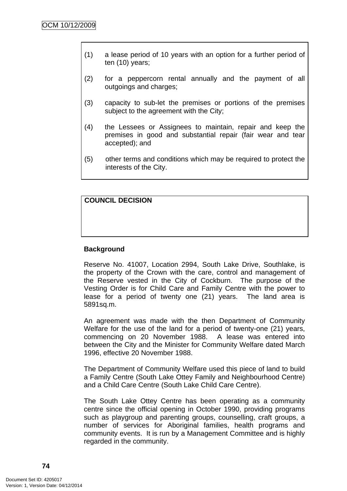- (1) a lease period of 10 years with an option for a further period of ten (10) years;
- (2) for a peppercorn rental annually and the payment of all outgoings and charges;
- (3) capacity to sub-let the premises or portions of the premises subject to the agreement with the City;
- (4) the Lessees or Assignees to maintain, repair and keep the premises in good and substantial repair (fair wear and tear accepted); and
- (5) other terms and conditions which may be required to protect the interests of the City.

### **COUNCIL DECISION**

#### **Background**

Reserve No. 41007, Location 2994, South Lake Drive, Southlake, is the property of the Crown with the care, control and management of the Reserve vested in the City of Cockburn. The purpose of the Vesting Order is for Child Care and Family Centre with the power to lease for a period of twenty one (21) years. The land area is 5891sq.m.

An agreement was made with the then Department of Community Welfare for the use of the land for a period of twenty-one (21) years, commencing on 20 November 1988. A lease was entered into between the City and the Minister for Community Welfare dated March 1996, effective 20 November 1988.

The Department of Community Welfare used this piece of land to build a Family Centre (South Lake Ottey Family and Neighbourhood Centre) and a Child Care Centre (South Lake Child Care Centre).

The South Lake Ottey Centre has been operating as a community centre since the official opening in October 1990, providing programs such as playgroup and parenting groups, counselling, craft groups, a number of services for Aboriginal families, health programs and community events. It is run by a Management Committee and is highly regarded in the community.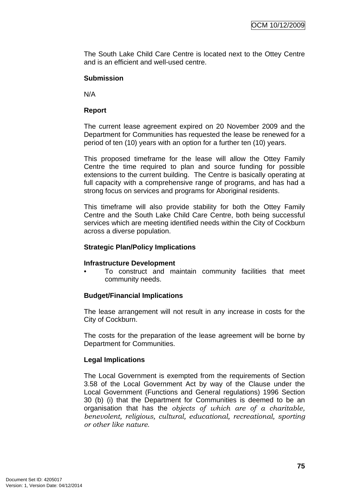The South Lake Child Care Centre is located next to the Ottey Centre and is an efficient and well-used centre.

### **Submission**

N/A

### **Report**

The current lease agreement expired on 20 November 2009 and the Department for Communities has requested the lease be renewed for a period of ten (10) years with an option for a further ten (10) years.

This proposed timeframe for the lease will allow the Ottey Family Centre the time required to plan and source funding for possible extensions to the current building. The Centre is basically operating at full capacity with a comprehensive range of programs, and has had a strong focus on services and programs for Aboriginal residents.

This timeframe will also provide stability for both the Ottey Family Centre and the South Lake Child Care Centre, both being successful services which are meeting identified needs within the City of Cockburn across a diverse population.

#### **Strategic Plan/Policy Implications**

#### **Infrastructure Development**

• To construct and maintain community facilities that meet community needs.

### **Budget/Financial Implications**

The lease arrangement will not result in any increase in costs for the City of Cockburn.

The costs for the preparation of the lease agreement will be borne by Department for Communities.

### **Legal Implications**

The Local Government is exempted from the requirements of Section 3.58 of the Local Government Act by way of the Clause under the Local Government (Functions and General regulations) 1996 Section 30 (b) (i) that the Department for Communities is deemed to be an organisation that has the *objects of which are of a charitable, benevolent, religious, cultural, educational, recreational, sporting or other like nature*.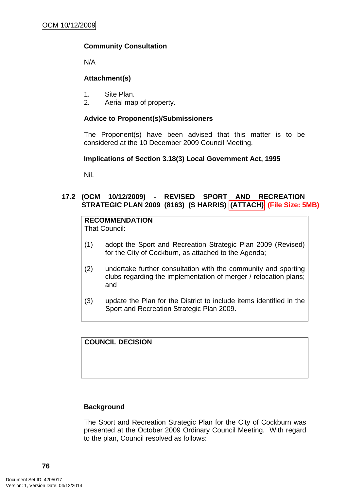## **Community Consultation**

N/A

### **Attachment(s)**

- 1. Site Plan.
- 2. Aerial map of property.

### **Advice to Proponent(s)/Submissioners**

The Proponent(s) have been advised that this matter is to be considered at the 10 December 2009 Council Meeting.

### **Implications of Section 3.18(3) Local Government Act, 1995**

Nil.

# **17.2 (OCM 10/12/2009) - REVISED SPORT AND RECREATION STRATEGIC PLAN 2009 (8163) (S HARRIS) (ATTACH) (File Size: 5MB)**

# **RECOMMENDATION**

That Council:

- (1) adopt the Sport and Recreation Strategic Plan 2009 (Revised) for the City of Cockburn, as attached to the Agenda;
- (2) undertake further consultation with the community and sporting clubs regarding the implementation of merger / relocation plans; and
- (3) update the Plan for the District to include items identified in the Sport and Recreation Strategic Plan 2009.

**COUNCIL DECISION** 

### **Background**

The Sport and Recreation Strategic Plan for the City of Cockburn was presented at the October 2009 Ordinary Council Meeting. With regard to the plan, Council resolved as follows: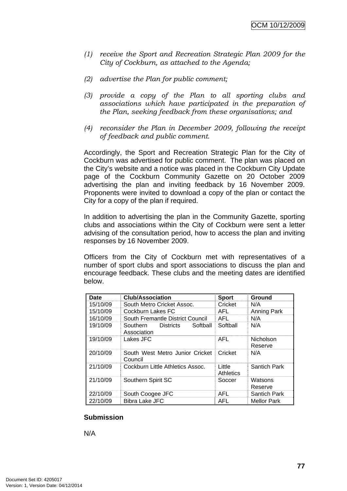- *(1) receive the Sport and Recreation Strategic Plan 2009 for the City of Cockburn, as attached to the Agenda;*
- *(2) advertise the Plan for public comment;*
- *(3) provide a copy of the Plan to all sporting clubs and associations which have participated in the preparation of the Plan, seeking feedback from these organisations; and*
- *(4) reconsider the Plan in December 2009, following the receipt of feedback and public comment.*

Accordingly, the Sport and Recreation Strategic Plan for the City of Cockburn was advertised for public comment. The plan was placed on the City's website and a notice was placed in the Cockburn City Update page of the Cockburn Community Gazette on 20 October 2009 advertising the plan and inviting feedback by 16 November 2009. Proponents were invited to download a copy of the plan or contact the City for a copy of the plan if required.

In addition to advertising the plan in the Community Gazette, sporting clubs and associations within the City of Cockburn were sent a letter advising of the consultation period, how to access the plan and inviting responses by 16 November 2009.

Officers from the City of Cockburn met with representatives of a number of sport clubs and sport associations to discuss the plan and encourage feedback. These clubs and the meeting dates are identified below.

| <b>Date</b> | <b>Club/Association</b>                                 | <b>Sport</b>               | Ground               |
|-------------|---------------------------------------------------------|----------------------------|----------------------|
| 15/10/09    | South Metro Cricket Assoc.                              | Cricket                    | N/A                  |
| 15/10/09    | Cockburn Lakes FC                                       | <b>AFL</b>                 | Anning Park          |
| 16/10/09    | South Fremantle District Council                        | <b>AFL</b>                 | N/A                  |
| 19/10/09    | Softball<br><b>Districts</b><br>Southern<br>Association | Softball                   | N/A                  |
| 19/10/09    | Lakes JFC                                               | AFL                        | Nicholson<br>Reserve |
| 20/10/09    | South West Metro Junior Cricket<br>Council              | Cricket                    | N/A                  |
| 21/10/09    | Cockburn Little Athletics Assoc.                        | Little<br><b>Athletics</b> | <b>Santich Park</b>  |
| 21/10/09    | Southern Spirit SC                                      | Soccer                     | Watsons<br>Reserve   |
| 22/10/09    | South Coogee JFC                                        | AFL                        | <b>Santich Park</b>  |
| 22/10/09    | <b>Bibra Lake JFC</b>                                   | AFL                        | <b>Mellor Park</b>   |

# **Submission**

N/A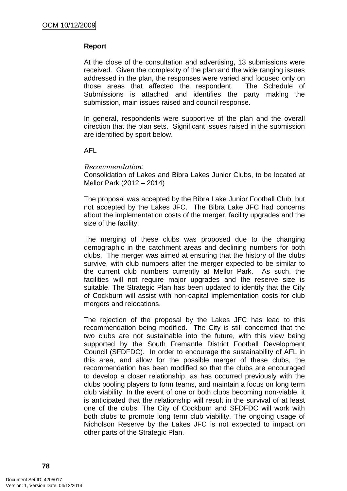### **Report**

At the close of the consultation and advertising, 13 submissions were received. Given the complexity of the plan and the wide ranging issues addressed in the plan, the responses were varied and focused only on those areas that affected the respondent. The Schedule of Submissions is attached and identifies the party making the submission, main issues raised and council response.

In general, respondents were supportive of the plan and the overall direction that the plan sets. Significant issues raised in the submission are identified by sport below.

### AFL

### *Recommendation*:

Consolidation of Lakes and Bibra Lakes Junior Clubs, to be located at Mellor Park (2012 – 2014)

The proposal was accepted by the Bibra Lake Junior Football Club, but not accepted by the Lakes JFC. The Bibra Lake JFC had concerns about the implementation costs of the merger, facility upgrades and the size of the facility.

The merging of these clubs was proposed due to the changing demographic in the catchment areas and declining numbers for both clubs. The merger was aimed at ensuring that the history of the clubs survive, with club numbers after the merger expected to be similar to the current club numbers currently at Mellor Park. As such, the facilities will not require major upgrades and the reserve size is suitable. The Strategic Plan has been updated to identify that the City of Cockburn will assist with non-capital implementation costs for club mergers and relocations.

The rejection of the proposal by the Lakes JFC has lead to this recommendation being modified. The City is still concerned that the two clubs are not sustainable into the future, with this view being supported by the South Fremantle District Football Development Council (SFDFDC). In order to encourage the sustainability of AFL in this area, and allow for the possible merger of these clubs, the recommendation has been modified so that the clubs are encouraged to develop a closer relationship, as has occurred previously with the clubs pooling players to form teams, and maintain a focus on long term club viability. In the event of one or both clubs becoming non-viable, it is anticipated that the relationship will result in the survival of at least one of the clubs. The City of Cockburn and SFDFDC will work with both clubs to promote long term club viability. The ongoing usage of Nicholson Reserve by the Lakes JFC is not expected to impact on other parts of the Strategic Plan.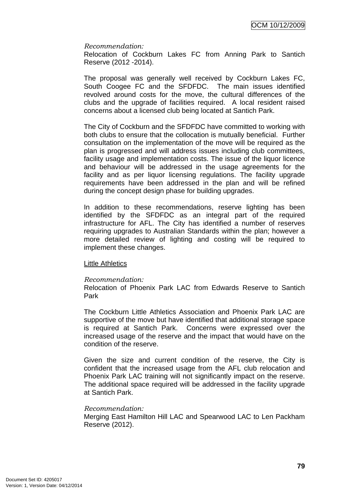#### *Recommendation:*

Relocation of Cockburn Lakes FC from Anning Park to Santich Reserve (2012 -2014).

The proposal was generally well received by Cockburn Lakes FC, South Coogee FC and the SFDFDC. The main issues identified revolved around costs for the move, the cultural differences of the clubs and the upgrade of facilities required. A local resident raised concerns about a licensed club being located at Santich Park.

The City of Cockburn and the SFDFDC have committed to working with both clubs to ensure that the collocation is mutually beneficial. Further consultation on the implementation of the move will be required as the plan is progressed and will address issues including club committees, facility usage and implementation costs. The issue of the liquor licence and behaviour will be addressed in the usage agreements for the facility and as per liquor licensing regulations. The facility upgrade requirements have been addressed in the plan and will be refined during the concept design phase for building upgrades.

In addition to these recommendations, reserve lighting has been identified by the SFDFDC as an integral part of the required infrastructure for AFL. The City has identified a number of reserves requiring upgrades to Australian Standards within the plan; however a more detailed review of lighting and costing will be required to implement these changes.

### Little Athletics

#### *Recommendation:*

Relocation of Phoenix Park LAC from Edwards Reserve to Santich Park

The Cockburn Little Athletics Association and Phoenix Park LAC are supportive of the move but have identified that additional storage space is required at Santich Park. Concerns were expressed over the increased usage of the reserve and the impact that would have on the condition of the reserve.

Given the size and current condition of the reserve, the City is confident that the increased usage from the AFL club relocation and Phoenix Park LAC training will not significantly impact on the reserve. The additional space required will be addressed in the facility upgrade at Santich Park.

#### *Recommendation:*

Merging East Hamilton Hill LAC and Spearwood LAC to Len Packham Reserve (2012).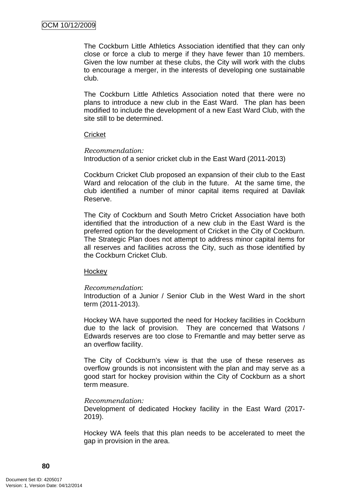The Cockburn Little Athletics Association identified that they can only close or force a club to merge if they have fewer than 10 members. Given the low number at these clubs, the City will work with the clubs to encourage a merger, in the interests of developing one sustainable club.

The Cockburn Little Athletics Association noted that there were no plans to introduce a new club in the East Ward. The plan has been modified to include the development of a new East Ward Club, with the site still to be determined.

#### **Cricket**

#### *Recommendation:*

Introduction of a senior cricket club in the East Ward (2011-2013)

Cockburn Cricket Club proposed an expansion of their club to the East Ward and relocation of the club in the future. At the same time, the club identified a number of minor capital items required at Davilak Reserve.

The City of Cockburn and South Metro Cricket Association have both identified that the introduction of a new club in the East Ward is the preferred option for the development of Cricket in the City of Cockburn. The Strategic Plan does not attempt to address minor capital items for all reserves and facilities across the City, such as those identified by the Cockburn Cricket Club.

#### **Hockey**

#### *Recommendation*:

Introduction of a Junior / Senior Club in the West Ward in the short term (2011-2013).

Hockey WA have supported the need for Hockey facilities in Cockburn due to the lack of provision. They are concerned that Watsons / Edwards reserves are too close to Fremantle and may better serve as an overflow facility.

The City of Cockburn's view is that the use of these reserves as overflow grounds is not inconsistent with the plan and may serve as a good start for hockey provision within the City of Cockburn as a short term measure.

#### *Recommendation:*

Development of dedicated Hockey facility in the East Ward (2017- 2019).

Hockey WA feels that this plan needs to be accelerated to meet the gap in provision in the area.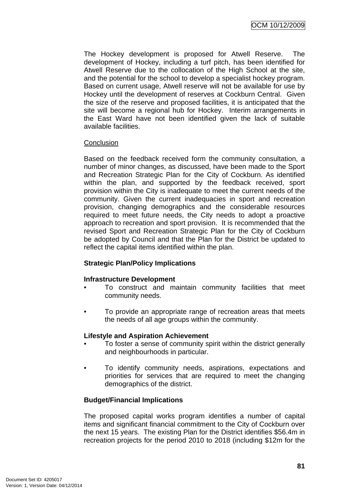The Hockey development is proposed for Atwell Reserve. The development of Hockey, including a turf pitch, has been identified for Atwell Reserve due to the collocation of the High School at the site, and the potential for the school to develop a specialist hockey program. Based on current usage, Atwell reserve will not be available for use by Hockey until the development of reserves at Cockburn Central. Given the size of the reserve and proposed facilities, it is anticipated that the site will become a regional hub for Hockey. Interim arrangements in the East Ward have not been identified given the lack of suitable available facilities.

### **Conclusion**

Based on the feedback received form the community consultation, a number of minor changes, as discussed, have been made to the Sport and Recreation Strategic Plan for the City of Cockburn. As identified within the plan, and supported by the feedback received, sport provision within the City is inadequate to meet the current needs of the community. Given the current inadequacies in sport and recreation provision, changing demographics and the considerable resources required to meet future needs, the City needs to adopt a proactive approach to recreation and sport provision. It is recommended that the revised Sport and Recreation Strategic Plan for the City of Cockburn be adopted by Council and that the Plan for the District be updated to reflect the capital items identified within the plan.

# **Strategic Plan/Policy Implications**

# **Infrastructure Development**

- To construct and maintain community facilities that meet community needs.
- To provide an appropriate range of recreation areas that meets the needs of all age groups within the community.

# **Lifestyle and Aspiration Achievement**

- To foster a sense of community spirit within the district generally and neighbourhoods in particular.
- To identify community needs, aspirations, expectations and priorities for services that are required to meet the changing demographics of the district.

# **Budget/Financial Implications**

The proposed capital works program identifies a number of capital items and significant financial commitment to the City of Cockburn over the next 15 years. The existing Plan for the District identifies \$56.4m in recreation projects for the period 2010 to 2018 (including \$12m for the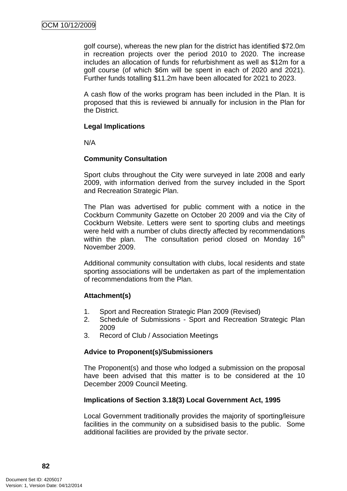golf course), whereas the new plan for the district has identified \$72.0m in recreation projects over the period 2010 to 2020. The increase includes an allocation of funds for refurbishment as well as \$12m for a golf course (of which \$6m will be spent in each of 2020 and 2021). Further funds totalling \$11.2m have been allocated for 2021 to 2023.

A cash flow of the works program has been included in the Plan. It is proposed that this is reviewed bi annually for inclusion in the Plan for the District.

### **Legal Implications**

N/A

### **Community Consultation**

Sport clubs throughout the City were surveyed in late 2008 and early 2009, with information derived from the survey included in the Sport and Recreation Strategic Plan.

The Plan was advertised for public comment with a notice in the Cockburn Community Gazette on October 20 2009 and via the City of Cockburn Website. Letters were sent to sporting clubs and meetings were held with a number of clubs directly affected by recommendations within the plan. The consultation period closed on Monday  $16<sup>th</sup>$ November 2009.

Additional community consultation with clubs, local residents and state sporting associations will be undertaken as part of the implementation of recommendations from the Plan.

### **Attachment(s)**

- 1. Sport and Recreation Strategic Plan 2009 (Revised)
- 2. Schedule of Submissions Sport and Recreation Strategic Plan 2009
- 3. Record of Club / Association Meetings

### **Advice to Proponent(s)/Submissioners**

The Proponent(s) and those who lodged a submission on the proposal have been advised that this matter is to be considered at the 10 December 2009 Council Meeting.

### **Implications of Section 3.18(3) Local Government Act, 1995**

Local Government traditionally provides the majority of sporting/leisure facilities in the community on a subsidised basis to the public. Some additional facilities are provided by the private sector.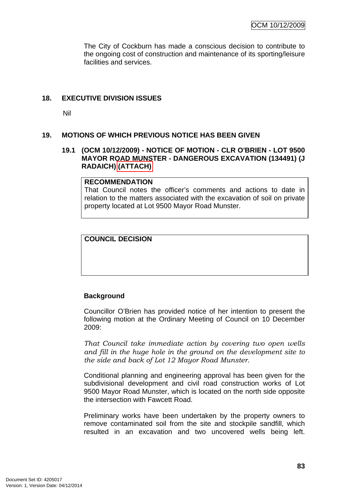The City of Cockburn has made a conscious decision to contribute to the ongoing cost of construction and maintenance of its sporting/leisure facilities and services.

### **18. EXECUTIVE DIVISION ISSUES**

Nil

### **19. MOTIONS OF WHICH PREVIOUS NOTICE HAS BEEN GIVEN**

### **19.1 (OCM 10/12/2009) - NOTICE OF MOTION - CLR O'BRIEN - LOT 9500 MAYOR ROAD MUNSTER - DANGEROUS EXCAVATION (134491) (J RADAICH) (ATTACH)**

#### **RECOMMENDATION**

That Council notes the officer's comments and actions to date in relation to the matters associated with the excavation of soil on private property located at Lot 9500 Mayor Road Munster.

### **COUNCIL DECISION**

### **Background**

Councillor O'Brien has provided notice of her intention to present the following motion at the Ordinary Meeting of Council on 10 December 2009:

*That Council take immediate action by covering two open wells and fill in the huge hole in the ground on the development site to the side and back of Lot 12 Mayor Road Munster.* 

Conditional planning and engineering approval has been given for the subdivisional development and civil road construction works of Lot 9500 Mayor Road Munster, which is located on the north side opposite the intersection with Fawcett Road.

Preliminary works have been undertaken by the property owners to remove contaminated soil from the site and stockpile sandfill, which resulted in an excavation and two uncovered wells being left.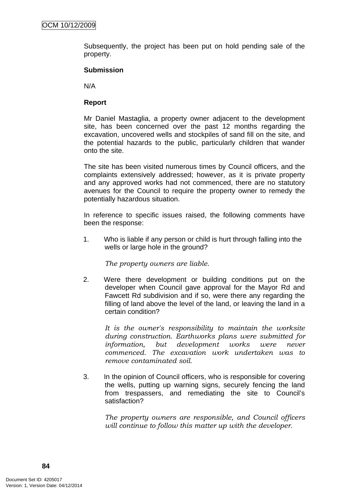Subsequently, the project has been put on hold pending sale of the property.

### **Submission**

N/A

### **Report**

Mr Daniel Mastaglia, a property owner adjacent to the development site, has been concerned over the past 12 months regarding the excavation, uncovered wells and stockpiles of sand fill on the site, and the potential hazards to the public, particularly children that wander onto the site.

The site has been visited numerous times by Council officers, and the complaints extensively addressed; however, as it is private property and any approved works had not commenced, there are no statutory avenues for the Council to require the property owner to remedy the potentially hazardous situation.

In reference to specific issues raised, the following comments have been the response:

1. Who is liable if any person or child is hurt through falling into the wells or large hole in the ground?

*The property owners are liable.* 

2. Were there development or building conditions put on the developer when Council gave approval for the Mayor Rd and Fawcett Rd subdivision and if so, were there any regarding the filling of land above the level of the land, or leaving the land in a certain condition?

> *It is the owner's responsibility to maintain the worksite during construction. Earthworks plans were submitted for information, but development works were never commenced. The excavation work undertaken was to remove contaminated soil.*

3. In the opinion of Council officers, who is responsible for covering the wells, putting up warning signs, securely fencing the land from trespassers, and remediating the site to Council's satisfaction?

*The property owners are responsible, and Council officers will continue to follow this matter up with the developer.*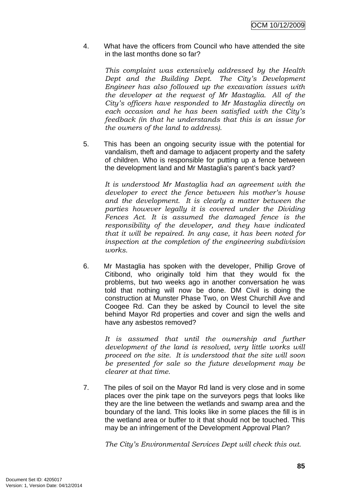4. What have the officers from Council who have attended the site in the last months done so far?

*This complaint was extensively addressed by the Health Dept and the Building Dept. The City's Development Engineer has also followed up the excavation issues with the developer at the request of Mr Mastaglia. All of the City's officers have responded to Mr Mastaglia directly on each occasion and he has been satisfied with the City's feedback (in that he understands that this is an issue for the owners of the land to address).* 

5. This has been an ongoing security issue with the potential for vandalism, theft and damage to adjacent property and the safety of children. Who is responsible for putting up a fence between the development land and Mr Mastaglia's parent's back yard?

*It is understood Mr Mastaglia had an agreement with the developer to erect the fence between his mother's house and the development. It is clearly a matter between the parties however legally it is covered under the Dividing Fences Act. It is assumed the damaged fence is the responsibility of the developer, and they have indicated that it will be repaired. In any case, it has been noted for inspection at the completion of the engineering subdivision works.* 

6. Mr Mastaglia has spoken with the developer, Phillip Grove of Citibond, who originally told him that they would fix the problems, but two weeks ago in another conversation he was told that nothing will now be done. DM Civil is doing the construction at Munster Phase Two, on West Churchill Ave and Coogee Rd. Can they be asked by Council to level the site behind Mayor Rd properties and cover and sign the wells and have any asbestos removed?

It is assumed that until the ownership and further *development of the land is resolved, very little works will proceed on the site. It is understood that the site will soon be presented for sale so the future development may be clearer at that time.* 

7. The piles of soil on the Mayor Rd land is very close and in some places over the pink tape on the surveyors pegs that looks like they are the line between the wetlands and swamp area and the boundary of the land. This looks like in some places the fill is in the wetland area or buffer to it that should not be touched. This may be an infringement of the Development Approval Plan?

*The City's Environmental Services Dept will check this out.*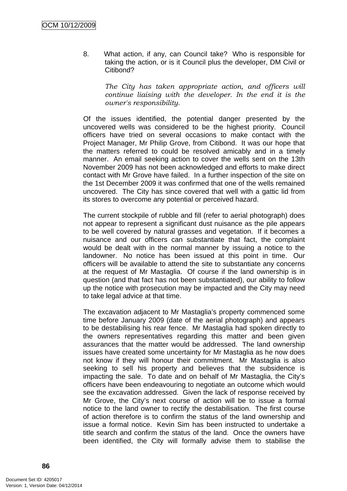8. What action, if any, can Council take? Who is responsible for taking the action, or is it Council plus the developer, DM Civil or Citibond?

> *The City has taken appropriate action, and officers will continue liaising with the developer. In the end it is the owner's responsibility.*

Of the issues identified, the potential danger presented by the uncovered wells was considered to be the highest priority. Council officers have tried on several occasions to make contact with the Project Manager, Mr Philip Grove, from Citibond. It was our hope that the matters referred to could be resolved amicably and in a timely manner. An email seeking action to cover the wells sent on the 13th November 2009 has not been acknowledged and efforts to make direct contact with Mr Grove have failed. In a further inspection of the site on the 1st December 2009 it was confirmed that one of the wells remained uncovered. The City has since covered that well with a gattic lid from its stores to overcome any potential or perceived hazard.

The current stockpile of rubble and fill (refer to aerial photograph) does not appear to represent a significant dust nuisance as the pile appears to be well covered by natural grasses and vegetation. If it becomes a nuisance and our officers can substantiate that fact, the complaint would be dealt with in the normal manner by issuing a notice to the landowner. No notice has been issued at this point in time. Our officers will be available to attend the site to substantiate any concerns at the request of Mr Mastaglia. Of course if the land ownership is in question (and that fact has not been substantiated), our ability to follow up the notice with prosecution may be impacted and the City may need to take legal advice at that time.

The excavation adjacent to Mr Mastaglia's property commenced some time before January 2009 (date of the aerial photograph) and appears to be destabilising his rear fence. Mr Mastaglia had spoken directly to the owners representatives regarding this matter and been given assurances that the matter would be addressed. The land ownership issues have created some uncertainty for Mr Mastaglia as he now does not know if they will honour their commitment. Mr Mastaglia is also seeking to sell his property and believes that the subsidence is impacting the sale. To date and on behalf of Mr Mastaglia, the City's officers have been endeavouring to negotiate an outcome which would see the excavation addressed. Given the lack of response received by Mr Grove, the City's next course of action will be to issue a formal notice to the land owner to rectify the destabilisation. The first course of action therefore is to confirm the status of the land ownership and issue a formal notice. Kevin Sim has been instructed to undertake a title search and confirm the status of the land. Once the owners have been identified, the City will formally advise them to stabilise the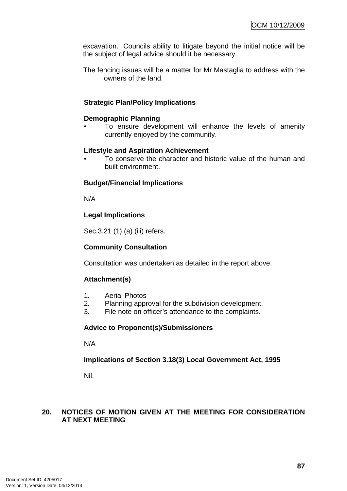excavation. Councils ability to litigate beyond the initial notice will be the subject of legal advice should it be necessary.

The fencing issues will be a matter for Mr Mastaglia to address with the owners of the land.

## **Strategic Plan/Policy Implications**

### **Demographic Planning**

To ensure development will enhance the levels of amenity currently enjoyed by the community.

### **Lifestyle and Aspiration Achievement**

• To conserve the character and historic value of the human and built environment.

### **Budget/Financial Implications**

N/A

### **Legal Implications**

Sec.3.21 (1) (a) (iii) refers.

### **Community Consultation**

Consultation was undertaken as detailed in the report above.

### **Attachment(s)**

- 1. Aerial Photos
- 2. Planning approval for the subdivision development.
- 3. File note on officer's attendance to the complaints.

### **Advice to Proponent(s)/Submissioners**

N/A

### **Implications of Section 3.18(3) Local Government Act, 1995**

Nil.

### **20. NOTICES OF MOTION GIVEN AT THE MEETING FOR CONSIDERATION AT NEXT MEETING**